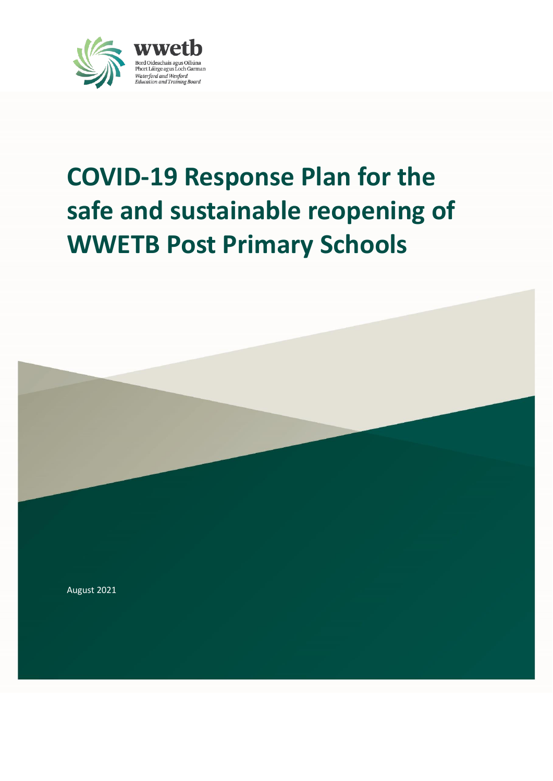

# **COVID-19 Response Plan for the safe and sustainable reopening of WWETB Post Primary Schools**

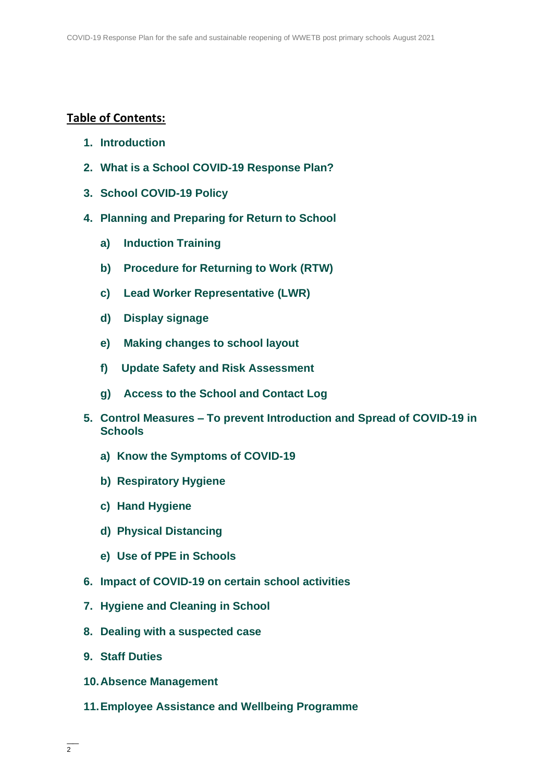## **Table of Contents:**

- <span id="page-1-0"></span>**1. Introduction**
- <span id="page-1-1"></span>**2. What is a School COVID-19 Response Plan?**
- <span id="page-1-2"></span>**3. School COVID-19 Policy**
- <span id="page-1-6"></span><span id="page-1-5"></span><span id="page-1-4"></span><span id="page-1-3"></span>**4. Planning and Preparing for Return to School**
	- **a) Induction Training**
	- **b) Procedure for Returning to Work (RTW)**
	- **c) Lead Worker Representative (LWR)**
	- **d) Display signage**
	- **e) Making changes to school layout**
	- **f) Update Safety and Risk Assessment**
	- **g) Access to the School and Contact Log**
- <span id="page-1-11"></span><span id="page-1-10"></span><span id="page-1-9"></span><span id="page-1-8"></span><span id="page-1-7"></span>**5. Control Measures – To prevent Introduction and Spread of COVID-19 in Schools**
	- **a) Know the Symptoms of COVID-19**
	- **b) Respiratory Hygiene**
	- **c) Hand Hygiene**
	- **d) Physical Distancing**
	- **e) Use of PPE in Schools**
- <span id="page-1-15"></span><span id="page-1-14"></span><span id="page-1-13"></span><span id="page-1-12"></span>**6. Impact of COVID-19 on certain school activities**
- <span id="page-1-16"></span>**7. Hygiene and Cleaning in School**
- <span id="page-1-17"></span>**8. Dealing with a suspected case**
- <span id="page-1-18"></span>**9. Staff Duties**
- <span id="page-1-19"></span>**10.Absence Management**
- <span id="page-1-20"></span>**11.Employee Assistance and Wellbeing Programme**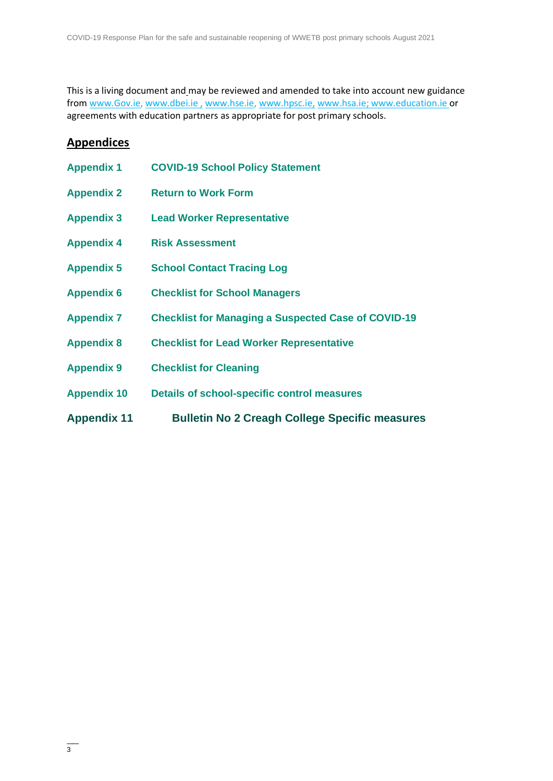This is a living document and may be reviewed and amended to take into account new guidance from [www.Gov.ie,](http://www.gov.ie/) [www.dbei.ie](http://www.dbei.ie/), [www.hse.ie,](http://www.hse.ie/) [www.hpsc.ie,](http://www.hpsc.ie/) [www.hsa.ie;](http://www.hsa.ie/) [www.education.ie](http://www.education.ie/) or agreements with education partners as appropriate for post primary schools.

# **Appendices**

<span id="page-2-5"></span><span id="page-2-4"></span><span id="page-2-3"></span><span id="page-2-2"></span><span id="page-2-1"></span><span id="page-2-0"></span>

| <b>Appendix 11</b> | <b>Bulletin No 2 Creagh College Specific measures</b>      |
|--------------------|------------------------------------------------------------|
| <b>Appendix 10</b> | <b>Details of school-specific control measures</b>         |
| <b>Appendix 9</b>  | <b>Checklist for Cleaning</b>                              |
| <b>Appendix 8</b>  | <b>Checklist for Lead Worker Representative</b>            |
| <b>Appendix 7</b>  | <b>Checklist for Managing a Suspected Case of COVID-19</b> |
| <b>Appendix 6</b>  | <b>Checklist for School Managers</b>                       |
| <b>Appendix 5</b>  | <b>School Contact Tracing Log</b>                          |
| <b>Appendix 4</b>  | <b>Risk Assessment</b>                                     |
| <b>Appendix 3</b>  | <b>Lead Worker Representative</b>                          |
| <b>Appendix 2</b>  | <b>Return to Work Form</b>                                 |
| <b>Appendix 1</b>  | <b>COVID-19 School Policy Statement</b>                    |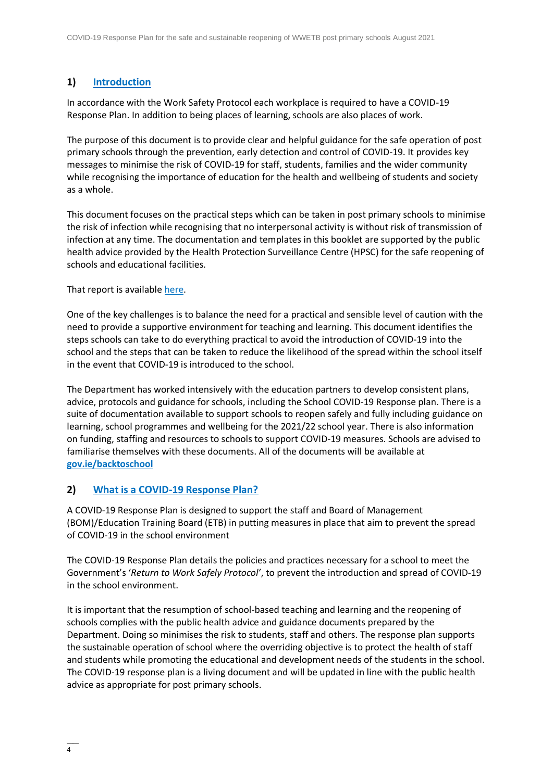#### **1) [Introduction](#page-1-0)**

In accordance with the Work Safety Protocol each workplace is required to have a COVID-19 Response Plan. In addition to being places of learning, schools are also places of work.

The purpose of this document is to provide clear and helpful guidance for the safe operation of post primary schools through the prevention, early detection and control of COVID-19. It provides key messages to minimise the risk of COVID-19 for staff, students, families and the wider community while recognising the importance of education for the health and wellbeing of students and society as a whole.

This document focuses on the practical steps which can be taken in post primary schools to minimise the risk of infection while recognising that no interpersonal activity is without risk of transmission of infection at any time. The documentation and templates in this booklet are supported by the public health advice provided by the Health Protection Surveillance Centre (HPSC) for the safe reopening of schools and educational facilities.

#### That report is available [here.](https://assets.gov.ie/82096/38b543b3-3245-4227-8f6a-7a167e684adb.pdf)

One of the key challenges is to balance the need for a practical and sensible level of caution with the need to provide a supportive environment for teaching and learning. This document identifies the steps schools can take to do everything practical to avoid the introduction of COVID-19 into the school and the steps that can be taken to reduce the likelihood of the spread within the school itself in the event that COVID-19 is introduced to the school.

The Department has worked intensively with the education partners to develop consistent plans, advice, protocols and guidance for schools, including the School COVID-19 Response plan. There is a suite of documentation available to support schools to reopen safely and fully including guidance on learning, school programmes and wellbeing for the 2021/22 school year. There is also information on funding, staffing and resources to schools to support COVID-19 measures. Schools are advised to familiarise themselves with these documents. All of the documents will be available at **[gov.ie/backtoschool](http://www.gov.ie/backtoschool)**

#### **2) [What is a COVID-19](#page-1-1) Response Plan?**

A COVID-19 Response Plan is designed to support the staff and Board of Management (BOM)/Education Training Board (ETB) in putting measures in place that aim to prevent the spread of COVID-19 in the school environment

The COVID-19 Response Plan details the policies and practices necessary for a school to meet the Government's '*Return to Work Safely Protocol'*, to prevent the introduction and spread of COVID-19 in the school environment.

It is important that the resumption of school-based teaching and learning and the reopening of schools complies with the public health advice and guidance documents prepared by the Department. Doing so minimises the risk to students, staff and others. The response plan supports the sustainable operation of school where the overriding objective is to protect the health of staff and students while promoting the educational and development needs of the students in the school. The COVID-19 response plan is a living document and will be updated in line with the public health advice as appropriate for post primary schools.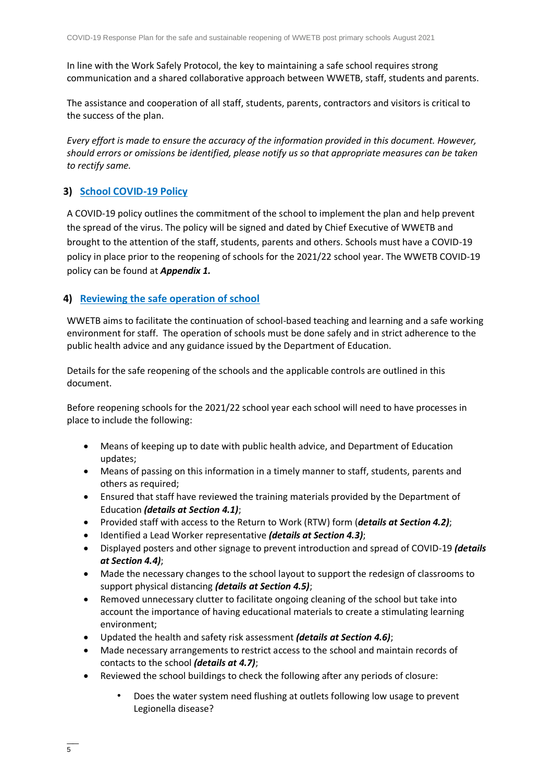In line with the Work Safely Protocol, the key to maintaining a safe school requires strong communication and a shared collaborative approach between WWETB, staff, students and parents.

The assistance and cooperation of all staff, students, parents, contractors and visitors is critical to the success of the plan.

*Every effort is made to ensure the accuracy of the information provided in this document. However, should errors or omissions be identified, please notify us so that appropriate measures can be taken to rectify same.*

## **3) [School COVID-19 Policy](#page-1-2)**

A COVID-19 policy outlines the commitment of the school to implement the plan and help prevent the spread of the virus. The policy will be signed and dated by Chief Executive of WWETB and brought to the attention of the staff, students, parents and others. Schools must have a COVID-19 policy in place prior to the reopening of schools for the 2021/22 school year. The WWETB COVID-19 policy can be found at *Appendix 1.*

## **4) [Reviewing the safe operation of school](#page-1-3)**

WWETB aims to facilitate the continuation of school-based teaching and learning and a safe working environment for staff. The operation of schools must be done safely and in strict adherence to the public health advice and any guidance issued by the Department of Education.

Details for the safe reopening of the schools and the applicable controls are outlined in this document.

Before reopening schools for the 2021/22 school year each school will need to have processes in place to include the following:

- Means of keeping up to date with public health advice, and Department of Education updates;
- Means of passing on this information in a timely manner to staff, students, parents and others as required;
- Ensured that staff have reviewed the training materials provided by the Department of Education *(details at Section 4.1)*;
- Provided staff with access to the Return to Work (RTW) form (*details at Section 4.2)*;
- Identified a Lead Worker representative *(details at Section 4.3)*;
- Displayed posters and other signage to prevent introduction and spread of COVID-19 *(details at Section 4.4)*;
- Made the necessary changes to the school layout to support the redesign of classrooms to support physical distancing *(details at Section 4.5)*;
- Removed unnecessary clutter to facilitate ongoing cleaning of the school but take into account the importance of having educational materials to create a stimulating learning environment;
- Updated the health and safety risk assessment *(details at Section 4.6)*;
- Made necessary arrangements to restrict access to the school and maintain records of contacts to the school *(details at 4.7)*;
- Reviewed the school buildings to check the following after any periods of closure:
	- Does the water system need flushing at outlets following low usage to prevent Legionella disease?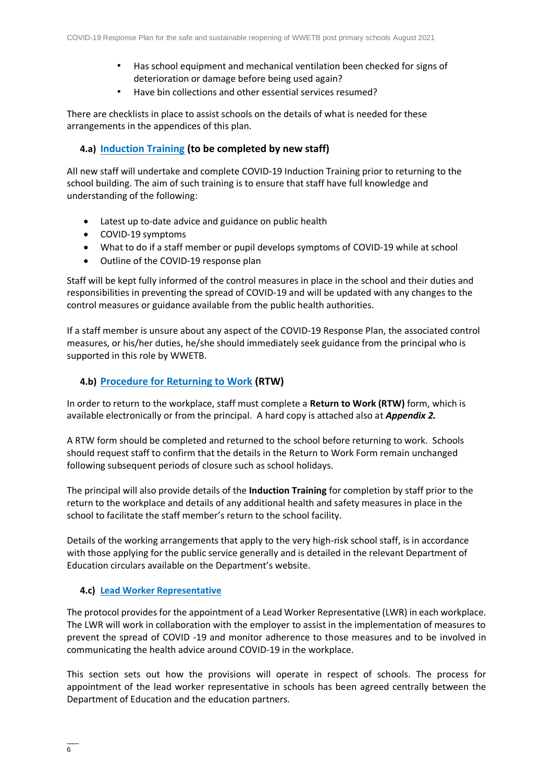- Has school equipment and mechanical ventilation been checked for signs of deterioration or damage before being used again?
- Have bin collections and other essential services resumed?

There are checklists in place to assist schools on the details of what is needed for these arrangements in the appendices of this plan.

## **4.a) [Induction Training](#page-1-4) (to be completed by new staff)**

All new staff will undertake and complete COVID-19 Induction Training prior to returning to the school building. The aim of such training is to ensure that staff have full knowledge and understanding of the following:

- Latest up to-date advice and guidance on public health
- COVID-19 symptoms
- What to do if a staff member or pupil develops symptoms of COVID-19 while at school
- Outline of the COVID-19 response plan

Staff will be kept fully informed of the control measures in place in the school and their duties and responsibilities in preventing the spread of COVID-19 and will be updated with any changes to the control measures or guidance available from the public health authorities.

If a staff member is unsure about any aspect of the COVID-19 Response Plan, the associated control measures, or his/her duties, he/she should immediately seek guidance from the principal who is supported in this role by WWETB.

#### **4.b) [Procedure for Returning to Work](#page-1-5) (RTW)**

In order to return to the workplace, staff must complete a **Return to Work (RTW)** form, which is available electronically or from the principal. A hard copy is attached also at *Appendix 2.*

A RTW form should be completed and returned to the school before returning to work. Schools should request staff to confirm that the details in the Return to Work Form remain unchanged following subsequent periods of closure such as school holidays.

The principal will also provide details of the **Induction Training** for completion by staff prior to the return to the workplace and details of any additional health and safety measures in place in the school to facilitate the staff member's return to the school facility.

Details of the working arrangements that apply to the very high-risk school staff, is in accordance with those applying for the public service generally and is detailed in the relevant Department of Education circulars available on the Department's website.

#### **4.c) [Lead Worker Representative](#page-1-6)**

The protocol provides for the appointment of a Lead Worker Representative (LWR) in each workplace. The LWR will work in collaboration with the employer to assist in the implementation of measures to prevent the spread of COVID -19 and monitor adherence to those measures and to be involved in communicating the health advice around COVID-19 in the workplace.

This section sets out how the provisions will operate in respect of schools. The process for appointment of the lead worker representative in schools has been agreed centrally between the Department of Education and the education partners.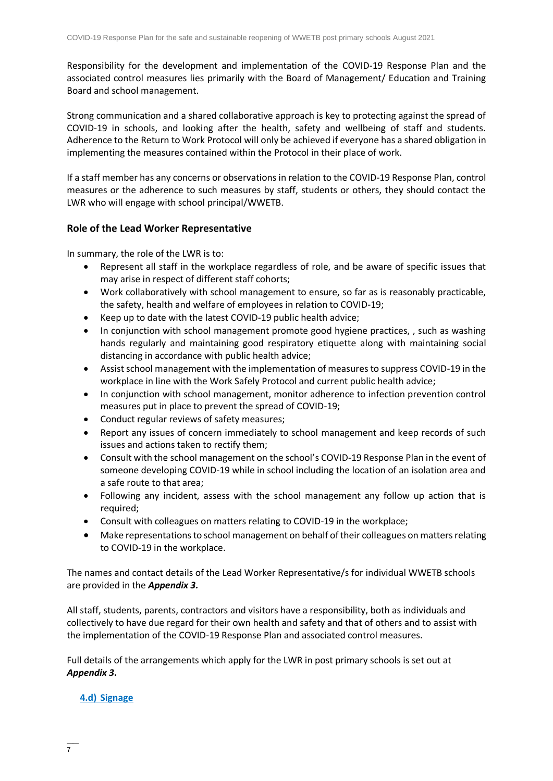Responsibility for the development and implementation of the COVID-19 Response Plan and the associated control measures lies primarily with the Board of Management/ Education and Training Board and school management.

Strong communication and a shared collaborative approach is key to protecting against the spread of COVID-19 in schools, and looking after the health, safety and wellbeing of staff and students. Adherence to the Return to Work Protocol will only be achieved if everyone has a shared obligation in implementing the measures contained within the Protocol in their place of work.

If a staff member has any concerns or observations in relation to the COVID-19 Response Plan, control measures or the adherence to such measures by staff, students or others, they should contact the LWR who will engage with school principal/WWETB.

#### **Role of the Lead Worker Representative**

In summary, the role of the LWR is to:

- Represent all staff in the workplace regardless of role, and be aware of specific issues that may arise in respect of different staff cohorts;
- Work collaboratively with school management to ensure, so far as is reasonably practicable, the safety, health and welfare of employees in relation to COVID-19;
- Keep up to date with the latest COVID-19 public health advice;
- In conjunction with school management promote good hygiene practices, , such as washing hands regularly and maintaining good respiratory etiquette along with maintaining social distancing in accordance with public health advice;
- Assist school management with the implementation of measures to suppress COVID-19 in the workplace in line with the Work Safely Protocol and current public health advice;
- In conjunction with school management, monitor adherence to infection prevention control measures put in place to prevent the spread of COVID-19;
- Conduct regular reviews of safety measures;
- Report any issues of concern immediately to school management and keep records of such issues and actions taken to rectify them;
- Consult with the school management on the school's COVID-19 Response Plan in the event of someone developing COVID-19 while in school including the location of an isolation area and a safe route to that area;
- Following any incident, assess with the school management any follow up action that is required;
- Consult with colleagues on matters relating to COVID-19 in the workplace;
- Make representations to school management on behalf of their colleagues on matters relating to COVID-19 in the workplace.

The names and contact details of the Lead Worker Representative/s for individual WWETB schools are provided in the *Appendix 3.*

All staff, students, parents, contractors and visitors have a responsibility, both as individuals and collectively to have due regard for their own health and safety and that of others and to assist with the implementation of the COVID-19 Response Plan and associated control measures.

Full details of the arrangements which apply for the LWR in post primary schools is set out at *Appendix 3***.**

#### **4.d) [Signage](#page-1-7)**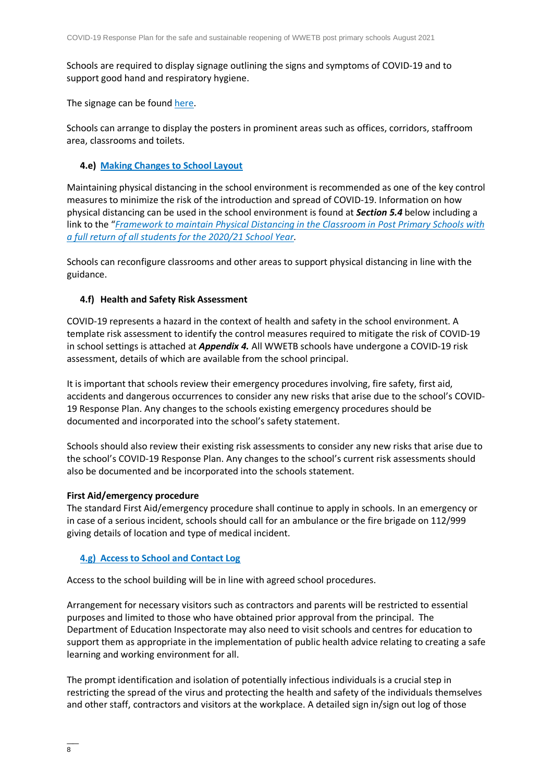Schools are required to display signage outlining the signs and symptoms of COVID-19 and to support good hand and respiratory hygiene.

The signage can be found [here.](https://www.gov.ie/en/publication/2da43-signage-for-reopening-of-schools/)

Schools can arrange to display the posters in prominent areas such as offices, corridors, staffroom area, classrooms and toilets.

#### **4.e) [Making Changes to School Layout](#page-1-8)**

Maintaining physical distancing in the school environment is recommended as one of the key control measures to minimize the risk of the introduction and spread of COVID-19. Information on how physical distancing can be used in the school environment is found at *Section 5.4* below including a link to the "*[Framework to maintain Physical Distancing in the Classroom in Post Primary Schools](https://assets.gov.ie/83472/ca0e3029-2d43-4e77-8181-bc3dc89455d2.pdf) with [a full return of all students for the 2020/21 School Year.](https://assets.gov.ie/83472/ca0e3029-2d43-4e77-8181-bc3dc89455d2.pdf)* 

Schools can reconfigure classrooms and other areas to support physical distancing in line with the guidance.

#### **4.f) Health and Safety Risk Assessment**

COVID-19 represents a hazard in the context of health and safety in the school environment. A template risk assessment to identify the control measures required to mitigate the risk of COVID-19 in school settings is attached at *Appendix 4.* All WWETB schools have undergone a COVID-19 risk assessment, details of which are available from the school principal.

It is important that schools review their emergency procedures involving, fire safety, first aid, accidents and dangerous occurrences to consider any new risks that arise due to the school's COVID-19 Response Plan. Any changes to the schools existing emergency procedures should be documented and incorporated into the school's safety statement.

Schools should also review their existing risk assessments to consider any new risks that arise due to the school's COVID-19 Response Plan. Any changes to the school's current risk assessments should also be documented and be incorporated into the schools statement.

#### **First Aid/emergency procedure**

The standard First Aid/emergency procedure shall continue to apply in schools. In an emergency or in case of a serious incident, schools should call for an ambulance or the fire brigade on 112/999 giving details of location and type of medical incident.

#### **4.g) [Access to School and Contact Log](#page-1-9)**

Access to the school building will be in line with agreed school procedures.

Arrangement for necessary visitors such as contractors and parents will be restricted to essential purposes and limited to those who have obtained prior approval from the principal. The Department of Education Inspectorate may also need to visit schools and centres for education to support them as appropriate in the implementation of public health advice relating to creating a safe learning and working environment for all.

The prompt identification and isolation of potentially infectious individuals is a crucial step in restricting the spread of the virus and protecting the health and safety of the individuals themselves and other staff, contractors and visitors at the workplace. A detailed sign in/sign out log of those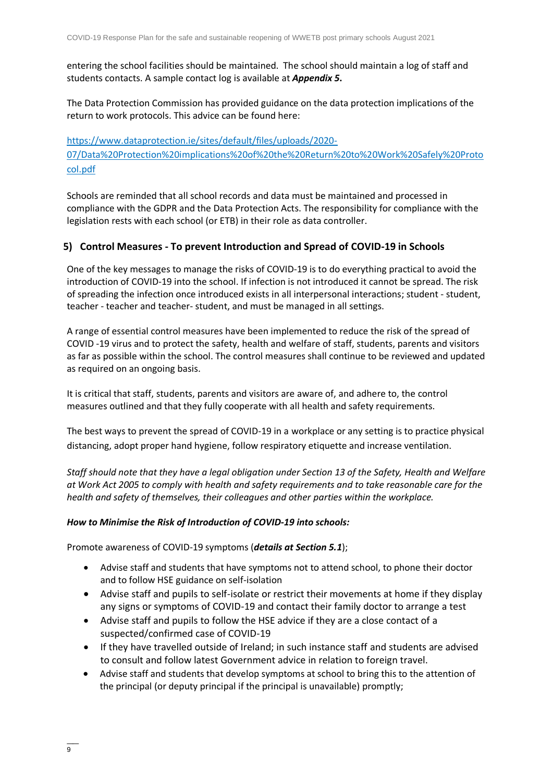entering the school facilities should be maintained. The school should maintain a log of staff and students contacts. A sample contact log is available at *Appendix 5***.** 

The Data Protection Commission has provided guidance on the data protection implications of the return to work protocols. This advice can be found here:

[https://www.dataprotection.ie/sites/default/files/uploads/2020-](https://www.dataprotection.ie/sites/default/files/uploads/2020-07/Data%20Protection%20implications%20of%20the%20Return%20to%20Work%20Safely%20Protocol.pdf) [07/Data%20Protection%20implications%20of%20the%20Return%20to%20Work%20Safely%20Proto](https://www.dataprotection.ie/sites/default/files/uploads/2020-07/Data%20Protection%20implications%20of%20the%20Return%20to%20Work%20Safely%20Protocol.pdf) [col.pdf](https://www.dataprotection.ie/sites/default/files/uploads/2020-07/Data%20Protection%20implications%20of%20the%20Return%20to%20Work%20Safely%20Protocol.pdf)

Schools are reminded that all school records and data must be maintained and processed in compliance with the GDPR and the Data Protection Acts. The responsibility for compliance with the legislation rests with each school (or ETB) in their role as data controller.

## **5) Control Measures - To prevent Introduction and Spread of COVID-19 in Schools**

One of the key messages to manage the risks of COVID-19 is to do everything practical to avoid the introduction of COVID-19 into the school. If infection is not introduced it cannot be spread. The risk of spreading the infection once introduced exists in all interpersonal interactions; student - student, teacher - teacher and teacher- student, and must be managed in all settings.

A range of essential control measures have been implemented to reduce the risk of the spread of COVID -19 virus and to protect the safety, health and welfare of staff, students, parents and visitors as far as possible within the school. The control measures shall continue to be reviewed and updated as required on an ongoing basis.

It is critical that staff, students, parents and visitors are aware of, and adhere to, the control measures outlined and that they fully cooperate with all health and safety requirements.

The best ways to prevent the spread of COVID-19 in a workplace or any setting is to practice physical distancing, adopt proper hand hygiene, follow respiratory etiquette and increase ventilation.

*Staff should note that they have a legal obligation under Section 13 of the Safety, Health and Welfare at Work Act 2005 to comply with health and safety requirements and to take reasonable care for the health and safety of themselves, their colleagues and other parties within the workplace.* 

#### *How to Minimise the Risk of Introduction of COVID-19 into schools:*

Promote awareness of COVID-19 symptoms (*details at Section 5.1*);

- Advise staff and students that have symptoms not to attend school, to phone their doctor and to follow HSE guidance on self-isolation
- Advise staff and pupils to self-isolate or restrict their movements at home if they display any signs or symptoms of COVID-19 and contact their family doctor to arrange a test
- Advise staff and pupils to follow the HSE advice if they are a close contact of a suspected/confirmed case of COVID-19
- If they have travelled outside of Ireland; in such instance staff and students are advised to consult and follow latest Government advice in relation to foreign travel.
- Advise staff and students that develop symptoms at school to bring this to the attention of the principal (or deputy principal if the principal is unavailable) promptly;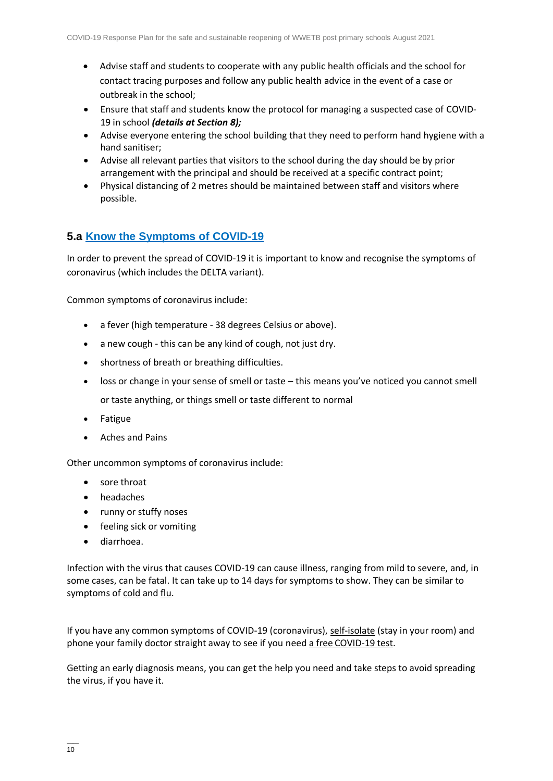- Advise staff and students to cooperate with any public health officials and the school for contact tracing purposes and follow any public health advice in the event of a case or outbreak in the school;
- Ensure that staff and students know the protocol for managing a suspected case of COVID-19 in school *(details at Section 8);*
- Advise everyone entering the school building that they need to perform hand hygiene with a hand sanitiser;
- Advise all relevant parties that visitors to the school during the day should be by prior arrangement with the principal and should be received at a specific contract point;
- Physical distancing of 2 metres should be maintained between staff and visitors where possible.

## **5.a [Know the Symptoms of COVID-19](#page-1-10)**

In order to prevent the spread of COVID-19 it is important to know and recognise the symptoms of coronavirus (which includes the DELTA variant).

Common symptoms of coronavirus include:

- a fever (high temperature 38 degrees Celsius or above).
- a new cough this can be any kind of cough, not just dry.
- shortness of breath or breathing difficulties.
- loss or change in your sense of smell or taste this means you've noticed you cannot smell or taste anything, or things smell or taste different to normal
- Fatigue
- Aches and Pains

Other uncommon symptoms of coronavirus include:

- sore throat
- headaches
- runny or stuffy noses
- feeling sick or vomiting
- diarrhoea.

Infection with the virus that causes COVID-19 can cause illness, ranging from mild to severe, and, in some cases, can be fatal. It can take up to 14 days for symptoms to show. They can be similar to symptoms of [cold](https://www2.hse.ie/conditions/common-cold.html) and [flu.](https://www2.hse.ie/conditions/flu/flu-symptoms-and-diagnosis.html)

If you have any common symptoms of COVID-19 (coronavirus), [self-isolate](https://www2.hse.ie/conditions/coronavirus/self-isolation/how-to-self-isolate.html) (stay in your room) and phone your family doctor straight away to see if you need a free [COVID-19 test.](https://www2.hse.ie/conditions/coronavirus/testing/how-to-get-tested.html)

Getting an early diagnosis means, you can get the help you need and take steps to avoid spreading the virus, if you have it.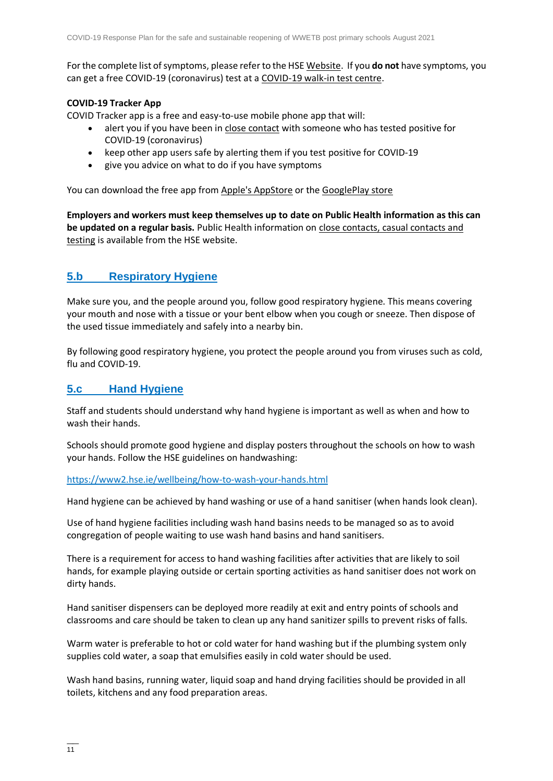For the complete list of symptoms, please refer to the HSE [Website.](https://www2.hse.ie/conditions/coronavirus/symptoms.html) If you **do not** have symptoms, you can get a free COVID-19 (coronavirus) test at a [COVID-19 walk-in test centre.](https://www2.hse.ie/conditions/coronavirus/testing/covid-19-walk-in-test-centres.html)

#### **COVID-19 Tracker App**

COVID Tracker app is a free and easy-to-use mobile phone app that will:

- alert you if you have been in [close contact](https://www2.hse.ie/conditions/coronavirus/close-contact-and-casual-contact.html) with someone who has tested positive for COVID-19 (coronavirus)
- keep other app users safe by alerting them if you test positive for COVID-19
- give you advice on what to do if you have symptoms

You can download the free app from [Apple's AppStore](https://apps.apple.com/ie/app/covid-tracker-ireland/id1505596721) or the [GooglePlay store](https://play.google.com/store/apps/details?id=com.covidtracker.hse)

**Employers and workers must keep themselves up to date on Public Health information as this can be updated on a regular basis.** Public Health information on [close contacts, casual contacts and](https://www2.hse.ie/conditions/coronavirus/close-contact-and-casual-contact.html)  [testing](https://www2.hse.ie/conditions/coronavirus/close-contact-and-casual-contact.html) [is available from the HSE website.](#page-1-11)

## **[5.b Respiratory Hygiene](#page-1-11)**

Make sure you, and the people around you, follow good respiratory hygiene. This means covering your mouth and nose with a tissue or your bent elbow when you cough or sneeze. Then dispose of the used tissue immediately and safely into a nearby bin.

By following good respiratory hygiene, you protect the people around you from viruses such as cold, flu and COVID-19.

## **[5.c Hand Hygiene](#page-1-12)**

Staff and students should understand why hand hygiene is important as well as when and how to wash their hands.

Schools should promote good hygiene and display posters throughout the schools on how to wash your hands. Follow the HSE guidelines on handwashing:

#### <https://www2.hse.ie/wellbeing/how-to-wash-your-hands.html>

Hand hygiene can be achieved by hand washing or use of a hand sanitiser (when hands look clean).

Use of hand hygiene facilities including wash hand basins needs to be managed so as to avoid congregation of people waiting to use wash hand basins and hand sanitisers.

There is a requirement for access to hand washing facilities after activities that are likely to soil hands, for example playing outside or certain sporting activities as hand sanitiser does not work on dirty hands.

Hand sanitiser dispensers can be deployed more readily at exit and entry points of schools and classrooms and care should be taken to clean up any hand sanitizer spills to prevent risks of falls.

Warm water is preferable to hot or cold water for hand washing but if the plumbing system only supplies cold water, a soap that emulsifies easily in cold water should be used.

Wash hand basins, running water, liquid soap and hand drying facilities should be provided in all toilets, kitchens and any food preparation areas.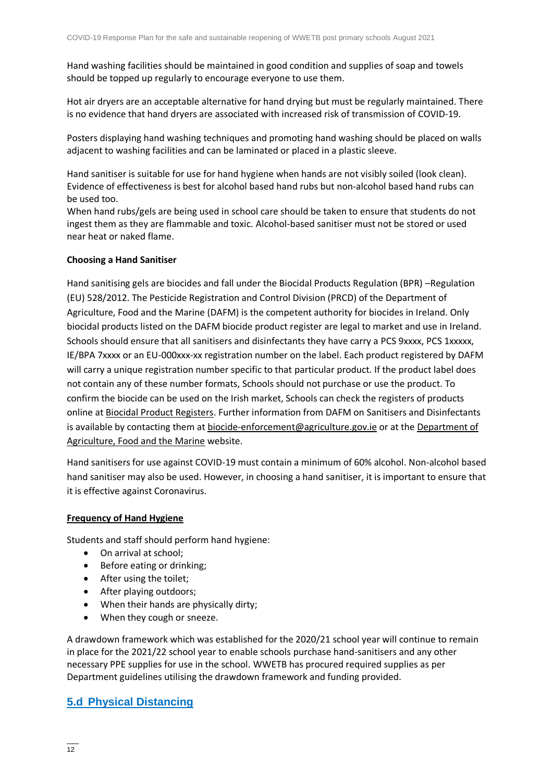Hand washing facilities should be maintained in good condition and supplies of soap and towels should be topped up regularly to encourage everyone to use them.

Hot air dryers are an acceptable alternative for hand drying but must be regularly maintained. There is no evidence that hand dryers are associated with increased risk of transmission of COVID-19.

Posters displaying hand washing techniques and promoting hand washing should be placed on walls adjacent to washing facilities and can be laminated or placed in a plastic sleeve.

Hand sanitiser is suitable for use for hand hygiene when hands are not visibly soiled (look clean). Evidence of effectiveness is best for alcohol based hand rubs but non-alcohol based hand rubs can be used too.

When hand rubs/gels are being used in school care should be taken to ensure that students do not ingest them as they are flammable and toxic. Alcohol-based sanitiser must not be stored or used near heat or naked flame.

#### **Choosing a Hand Sanitiser**

Hand sanitising gels are biocides and fall under the Biocidal Products Regulation (BPR) –Regulation (EU) 528/2012. The Pesticide Registration and Control Division (PRCD) of the Department of Agriculture, Food and the Marine (DAFM) is the competent authority for biocides in Ireland. Only biocidal products listed on the DAFM biocide product register are legal to market and use in Ireland. Schools should ensure that all sanitisers and disinfectants they have carry a PCS 9xxxx, PCS 1xxxxx, IE/BPA 7xxxx or an EU-000xxx-xx registration number on the label. Each product registered by DAFM will carry a unique registration number specific to that particular product. If the product label does not contain any of these number formats, Schools should not purchase or use the product. To confirm the biocide can be used on the Irish market, Schools can check the registers of products online at [Biocidal Product Registers.](https://www.pcs.agriculture.gov.ie/registers/biocidalproductregisters/) Further information from DAFM on Sanitisers and Disinfectants is available by contacting them at [biocide-enforcement@agriculture.gov.ie](mailto:biocide-enforcement@agriculture.gov.ie) or at the Department of [Agriculture, Food and the Marine](https://www.agriculture.gov.ie/customerservice/coronaviruscovid-19/handsanitisersanddisinfectants/) website.

Hand sanitisers for use against COVID-19 must contain a minimum of 60% alcohol. Non-alcohol based hand sanitiser may also be used. However, in choosing a hand sanitiser, it is important to ensure that it is effective against Coronavirus.

#### **Frequency of Hand Hygiene**

Students and staff should perform hand hygiene:

- On arrival at school;
- Before eating or drinking;
- After using the toilet;
- After playing outdoors;
- When their hands are physically dirty;
- When they cough or sneeze.

A drawdown framework which was established for the 2020/21 school year will continue to remain in place for the 2021/22 school year to enable schools purchase hand-sanitisers and any other necessary PPE supplies for use in the school. WWETB has procured required supplies as per Department guidelines utilising the drawdown framework and funding provided.

## **[5.d Physical Distancing](#page-1-13)**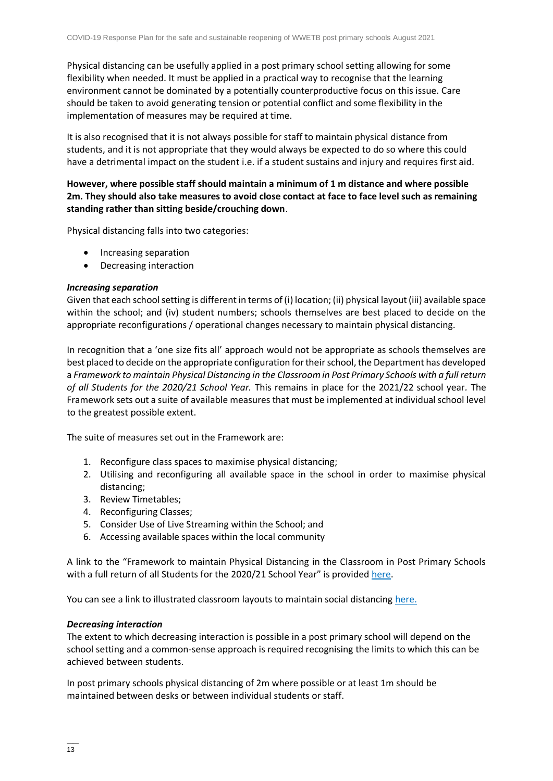Physical distancing can be usefully applied in a post primary school setting allowing for some flexibility when needed. It must be applied in a practical way to recognise that the learning environment cannot be dominated by a potentially counterproductive focus on this issue. Care should be taken to avoid generating tension or potential conflict and some flexibility in the implementation of measures may be required at time.

It is also recognised that it is not always possible for staff to maintain physical distance from students, and it is not appropriate that they would always be expected to do so where this could have a detrimental impact on the student i.e. if a student sustains and injury and requires first aid.

#### **However, where possible staff should maintain a minimum of 1 m distance and where possible 2m. They should also take measures to avoid close contact at face to face level such as remaining standing rather than sitting beside/crouching down**.

Physical distancing falls into two categories:

- Increasing separation
- Decreasing interaction

#### *Increasing separation*

Given that each school setting is different in terms of (i) location; (ii) physical layout (iii) available space within the school; and (iv) student numbers; schools themselves are best placed to decide on the appropriate reconfigurations / operational changes necessary to maintain physical distancing.

In recognition that a 'one size fits all' approach would not be appropriate as schools themselves are best placed to decide on the appropriate configuration for their school, the Department has developed a *Framework to maintain Physical Distancing in the Classroom in Post Primary Schools with a full return of all Students for the 2020/21 School Year.* This remains in place for the 2021/22 school year*.* The Framework sets out a suite of available measures that must be implemented at individual school level to the greatest possible extent.

The suite of measures set out in the Framework are:

- 1. Reconfigure class spaces to maximise physical distancing;
- 2. Utilising and reconfiguring all available space in the school in order to maximise physical distancing;
- 3. Review Timetables;
- 4. Reconfiguring Classes;
- 5. Consider Use of Live Streaming within the School; and
- 6. Accessing available spaces within the local community

A link to the "Framework to maintain Physical Distancing in the Classroom in Post Primary Schools with a full return of all Students for the 2020/21 School Year" is provided [here.](https://assets.gov.ie/83472/ca0e3029-2d43-4e77-8181-bc3dc89455d2.pdf)

You can see a link to illustrated classroom layouts to maintain social distancing [here.](https://s3-eu-west-1.amazonaws.com/govieassets/81947/e89b3523-78ee-45cb-ae14-c13d143b889b.pdf)

#### *Decreasing interaction*

The extent to which decreasing interaction is possible in a post primary school will depend on the school setting and a common-sense approach is required recognising the limits to which this can be achieved between students.

In post primary schools physical distancing of 2m where possible or at least 1m should be maintained between desks or between individual students or staff.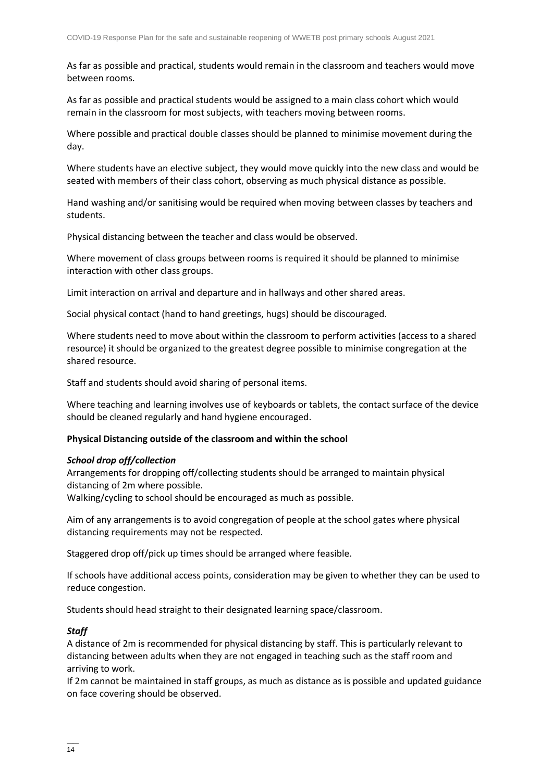As far as possible and practical, students would remain in the classroom and teachers would move between rooms.

As far as possible and practical students would be assigned to a main class cohort which would remain in the classroom for most subjects, with teachers moving between rooms.

Where possible and practical double classes should be planned to minimise movement during the day.

Where students have an elective subject, they would move quickly into the new class and would be seated with members of their class cohort, observing as much physical distance as possible.

Hand washing and/or sanitising would be required when moving between classes by teachers and students.

Physical distancing between the teacher and class would be observed.

Where movement of class groups between rooms is required it should be planned to minimise interaction with other class groups.

Limit interaction on arrival and departure and in hallways and other shared areas.

Social physical contact (hand to hand greetings, hugs) should be discouraged.

Where students need to move about within the classroom to perform activities (access to a shared resource) it should be organized to the greatest degree possible to minimise congregation at the shared resource.

Staff and students should avoid sharing of personal items.

Where teaching and learning involves use of keyboards or tablets, the contact surface of the device should be cleaned regularly and hand hygiene encouraged.

#### **Physical Distancing outside of the classroom and within the school**

#### *School drop off/collection*

Arrangements for dropping off/collecting students should be arranged to maintain physical distancing of 2m where possible.

Walking/cycling to school should be encouraged as much as possible.

Aim of any arrangements is to avoid congregation of people at the school gates where physical distancing requirements may not be respected.

Staggered drop off/pick up times should be arranged where feasible.

If schools have additional access points, consideration may be given to whether they can be used to reduce congestion.

Students should head straight to their designated learning space/classroom.

#### *Staff*

A distance of 2m is recommended for physical distancing by staff. This is particularly relevant to distancing between adults when they are not engaged in teaching such as the staff room and arriving to work.

If 2m cannot be maintained in staff groups, as much as distance as is possible and updated guidance on face covering should be observed.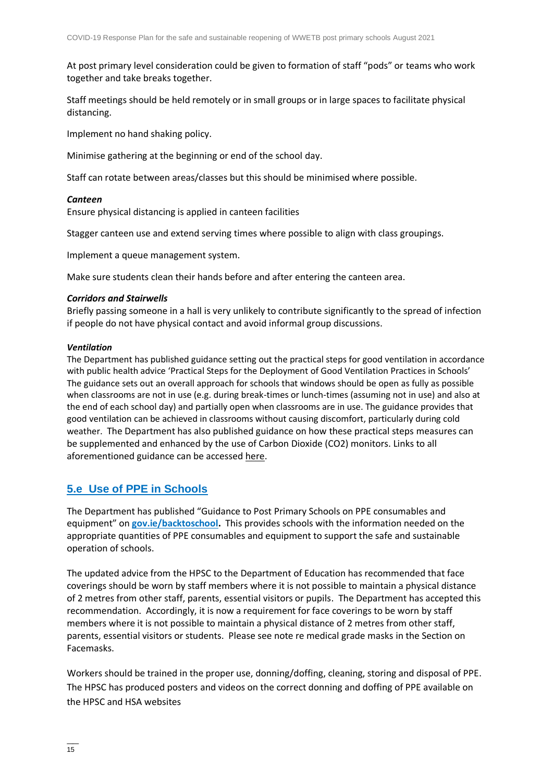At post primary level consideration could be given to formation of staff "pods" or teams who work together and take breaks together.

Staff meetings should be held remotely or in small groups or in large spaces to facilitate physical distancing.

Implement no hand shaking policy.

Minimise gathering at the beginning or end of the school day.

Staff can rotate between areas/classes but this should be minimised where possible.

#### *Canteen*

Ensure physical distancing is applied in canteen facilities

Stagger canteen use and extend serving times where possible to align with class groupings.

Implement a queue management system.

Make sure students clean their hands before and after entering the canteen area.

#### *Corridors and Stairwells*

Briefly passing someone in a hall is very unlikely to contribute significantly to the spread of infection if people do not have physical contact and avoid informal group discussions.

#### *Ventilation*

The Department has published guidance setting out the practical steps for good ventilation in accordance with public health advice 'Practical Steps for the Deployment of Good Ventilation Practices in Schools' The guidance sets out an overall approach for schools that windows should be open as fully as possible when classrooms are not in use (e.g. during break-times or lunch-times (assuming not in use) and also at the end of each school day) and partially open when classrooms are in use. The guidance provides that good ventilation can be achieved in classrooms without causing discomfort, particularly during cold weather. The Department has also published guidance on how these practical steps measures can be supplemented and enhanced by the use of Carbon Dioxide (CO2) monitors. Links to all aforementioned guidance can be accessed [here.](https://www.gov.ie/en/publication/ad236-guidance-on-ventilation-in-schools/)

#### **[5.e Use of PPE in Schools](#page-1-14)**

The Department has published "Guidance to Post Primary Schools on PPE consumables and equipment" on **[gov.ie/backtoschool.](http://www.gov.ie/backtoschool)** This provides schools with the information needed on the appropriate quantities of PPE consumables and equipment to support the safe and sustainable operation of schools.

The updated advice from the HPSC to the Department of Education has recommended that face coverings should be worn by staff members where it is not possible to maintain a physical distance of 2 metres from other staff, parents, essential visitors or pupils. The Department has accepted this recommendation. Accordingly, it is now a requirement for face coverings to be worn by staff members where it is not possible to maintain a physical distance of 2 metres from other staff, parents, essential visitors or students. Please see note re medical grade masks in the Section on Facemasks.

Workers should be trained in the proper use, donning/doffing, cleaning, storing and disposal of PPE. The HPSC has produced posters and videos on the correct donning and doffing of PPE available on the HPSC and HSA websites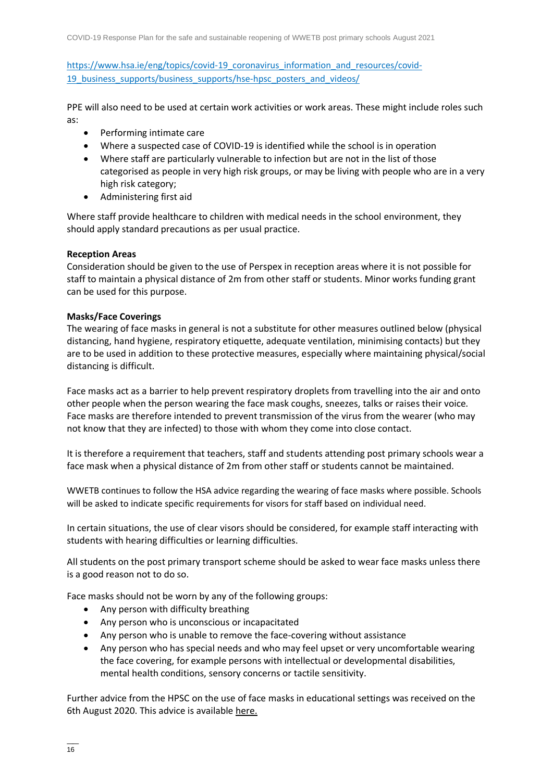[https://www.hsa.ie/eng/topics/covid-19\\_coronavirus\\_information\\_and\\_resources/covid-](https://www.hsa.ie/eng/topics/covid-19_coronavirus_information_and_resources/covid-19_business_supports/business_supports/hse-hpsc_posters_and_videos/)19 business supports/business supports/hse-hpsc\_posters\_and\_videos/

PPE will also need to be used at certain work activities or work areas. These might include roles such as:

- Performing intimate care
- Where a suspected case of COVID-19 is identified while the school is in operation
- Where staff are particularly vulnerable to infection but are not in the list of those categorised as people in very high risk groups, or may be living with people who are in a very high risk category;
- Administering first aid

Where staff provide healthcare to children with medical needs in the school environment, they should apply standard precautions as per usual practice.

#### **Reception Areas**

Consideration should be given to the use of Perspex in reception areas where it is not possible for staff to maintain a physical distance of 2m from other staff or students. Minor works funding grant can be used for this purpose.

#### **Masks/Face Coverings**

The wearing of face masks in general is not a substitute for other measures outlined below (physical distancing, hand hygiene, respiratory etiquette, adequate ventilation, minimising contacts) but they are to be used in addition to these protective measures, especially where maintaining physical/social distancing is difficult.

Face masks act as a barrier to help prevent respiratory droplets from travelling into the air and onto other people when the person wearing the face mask coughs, sneezes, talks or raises their voice. Face masks are therefore intended to prevent transmission of the virus from the wearer (who may not know that they are infected) to those with whom they come into close contact.

It is therefore a requirement that teachers, staff and students attending post primary schools wear a face mask when a physical distance of 2m from other staff or students cannot be maintained.

WWETB continues to follow the HSA advice regarding the wearing of face masks where possible. Schools will be asked to indicate specific requirements for visors for staff based on individual need.

In certain situations, the use of clear visors should be considered, for example staff interacting with students with hearing difficulties or learning difficulties.

All students on the post primary transport scheme should be asked to wear face masks unless there is a good reason not to do so.

Face masks should not be worn by any of the following groups:

- Any person with difficulty breathing
- Any person who is unconscious or incapacitated
- Any person who is unable to remove the face-covering without assistance
- Any person who has special needs and who may feel upset or very uncomfortable wearing the face covering, for example persons with intellectual or developmental disabilities, mental health conditions, sensory concerns or tactile sensitivity.

Further advice from the HPSC on the use of face masks in educational settings was received on the 6th August 2020. This advice is availabl[e here.](https://assets.gov.ie/83506/86fba2a7-26da-4c19-bce3-b0d01aaaf59b.pdf)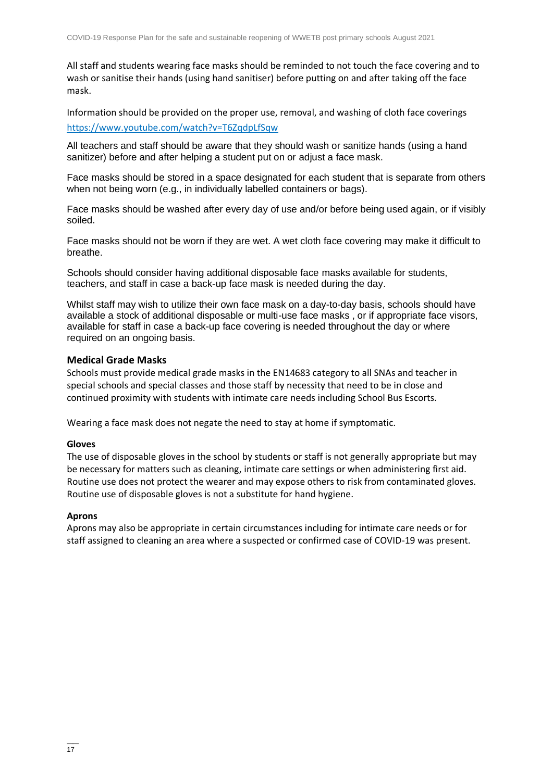All staff and students wearing face masks should be reminded to not touch the face covering and to wash or sanitise their hands (using hand sanitiser) before putting on and after taking off the face mask.

Information should be provided on the proper use, removal, and washing of cloth face coverings <https://www.youtube.com/watch?v=T6ZqdpLfSqw>

All teachers and staff should be aware that they should wash or sanitize hands (using a hand sanitizer) before and after helping a student put on or adjust a face mask.

Face masks should be stored in a space designated for each student that is separate from others when not being worn (e.g., in individually labelled containers or bags).

Face masks should be washed after every day of use and/or before being used again, or if visibly soiled.

Face masks should not be worn if they are wet. A wet cloth face covering may make it difficult to breathe.

Schools should consider having additional disposable face masks available for students, teachers, and staff in case a back-up face mask is needed during the day.

Whilst staff may wish to utilize their own face mask on a day-to-day basis, schools should have available a stock of additional disposable or multi-use face masks , or if appropriate face visors, available for staff in case a back-up face covering is needed throughout the day or where required on an ongoing basis.

#### **Medical Grade Masks**

Schools must provide medical grade masks in the EN14683 category to all SNAs and teacher in special schools and special classes and those staff by necessity that need to be in close and continued proximity with students with intimate care needs including School Bus Escorts.

Wearing a face mask does not negate the need to stay at home if symptomatic.

#### **Gloves**

The use of disposable gloves in the school by students or staff is not generally appropriate but may be necessary for matters such as cleaning, intimate care settings or when administering first aid. Routine use does not protect the wearer and may expose others to risk from contaminated gloves. Routine use of disposable gloves is not a substitute for hand hygiene.

#### **Aprons**

Aprons may also be appropriate in certain circumstances including for intimate care needs or for staff assigned to cleaning an area where a suspected or confirmed case of COVID-19 was present.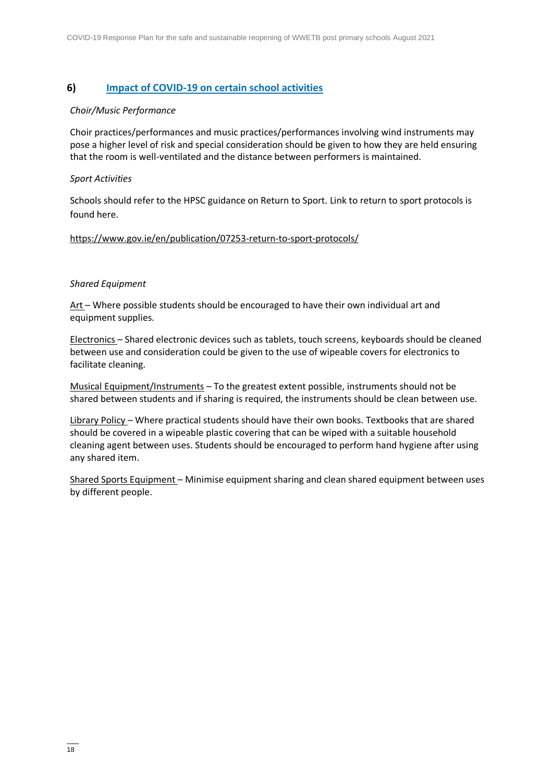#### **6) Impact of COVID-19 [on certain school activities](#page-1-15)**

#### *Choir/Music Performance*

Choir practices/performances and music practices/performances involving wind instruments may pose a higher level of risk and special consideration should be given to how they are held ensuring that the room is well-ventilated and the distance between performers is maintained.

#### *Sport Activities*

Schools should refer to the HPSC guidance on Return to Sport. Link to return to sport protocols is found here.

#### <https://www.gov.ie/en/publication/07253-return-to-sport-protocols/>

#### *Shared Equipment*

Art – Where possible students should be encouraged to have their own individual art and equipment supplies.

Electronics – Shared electronic devices such as tablets, touch screens, keyboards should be cleaned between use and consideration could be given to the use of wipeable covers for electronics to facilitate cleaning.

Musical Equipment/Instruments – To the greatest extent possible, instruments should not be shared between students and if sharing is required, the instruments should be clean between use.

Library Policy – Where practical students should have their own books. Textbooks that are shared should be covered in a wipeable plastic covering that can be wiped with a suitable household cleaning agent between uses. Students should be encouraged to perform hand hygiene after using any shared item.

Shared Sports Equipment - Minimise equipment sharing and clean shared equipment between uses by different people.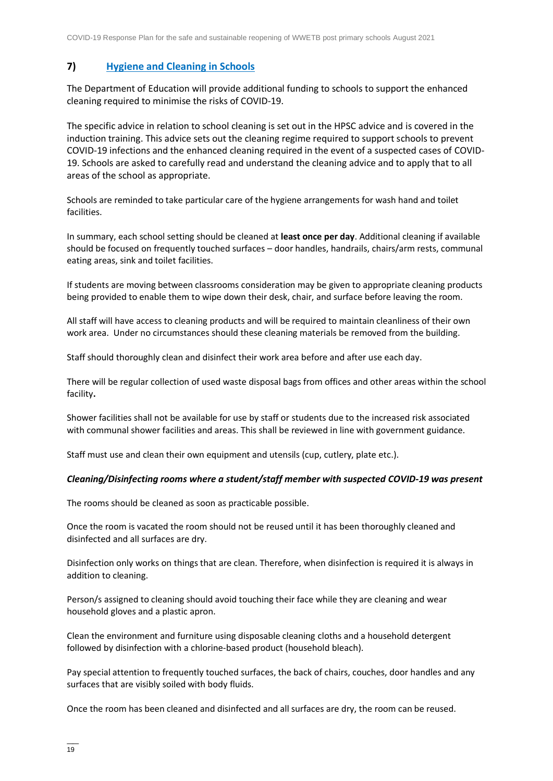#### **7) [Hygiene and Cleaning in Schools](#page-1-16)**

The Department of Education will provide additional funding to schools to support the enhanced cleaning required to minimise the risks of COVID-19.

The specific advice in relation to school cleaning is set out in the HPSC advice and is covered in the induction training. This advice sets out the cleaning regime required to support schools to prevent COVID-19 infections and the enhanced cleaning required in the event of a suspected cases of COVID-19. Schools are asked to carefully read and understand the cleaning advice and to apply that to all areas of the school as appropriate.

Schools are reminded to take particular care of the hygiene arrangements for wash hand and toilet facilities.

In summary, each school setting should be cleaned at **least once per day**. Additional cleaning if available should be focused on frequently touched surfaces – door handles, handrails, chairs/arm rests, communal eating areas, sink and toilet facilities.

If students are moving between classrooms consideration may be given to appropriate cleaning products being provided to enable them to wipe down their desk, chair, and surface before leaving the room.

All staff will have access to cleaning products and will be required to maintain cleanliness of their own work area. Under no circumstances should these cleaning materials be removed from the building.

Staff should thoroughly clean and disinfect their work area before and after use each day.

There will be regular collection of used waste disposal bags from offices and other areas within the school facility**.** 

Shower facilities shall not be available for use by staff or students due to the increased risk associated with communal shower facilities and areas. This shall be reviewed in line with government guidance.

Staff must use and clean their own equipment and utensils (cup, cutlery, plate etc.).

#### *Cleaning/Disinfecting rooms where a student/staff member with suspected COVID-19 was present*

The rooms should be cleaned as soon as practicable possible.

Once the room is vacated the room should not be reused until it has been thoroughly cleaned and disinfected and all surfaces are dry.

Disinfection only works on things that are clean. Therefore, when disinfection is required it is always in addition to cleaning.

Person/s assigned to cleaning should avoid touching their face while they are cleaning and wear household gloves and a plastic apron.

Clean the environment and furniture using disposable cleaning cloths and a household detergent followed by disinfection with a chlorine-based product (household bleach).

Pay special attention to frequently touched surfaces, the back of chairs, couches, door handles and any surfaces that are visibly soiled with body fluids.

Once the room has been cleaned and disinfected and all surfaces are dry, the room can be reused.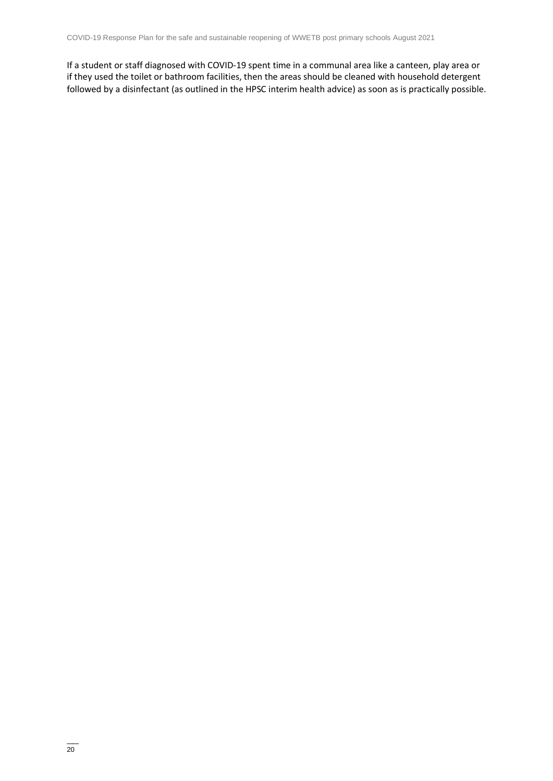If a student or staff diagnosed with COVID-19 spent time in a communal area like a canteen, play area or if they used the toilet or bathroom facilities, then the areas should be cleaned with household detergent followed by a disinfectant (as outlined in the HPSC interim health advice) as soon as is practically possible.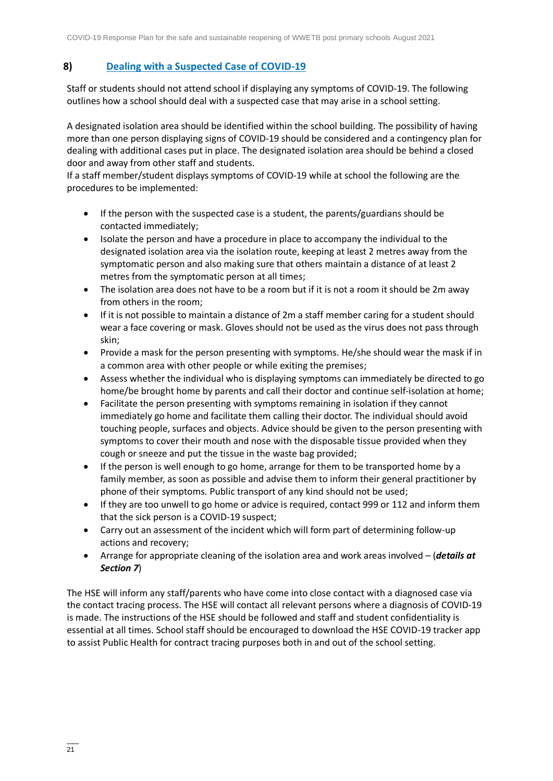## **8) [Dealing with a Suspected Case of COVID-19](#page-1-17)**

Staff or students should not attend school if displaying any symptoms of COVID-19. The following outlines how a school should deal with a suspected case that may arise in a school setting.

A designated isolation area should be identified within the school building. The possibility of having more than one person displaying signs of COVID-19 should be considered and a contingency plan for dealing with additional cases put in place. The designated isolation area should be behind a closed door and away from other staff and students.

If a staff member/student displays symptoms of COVID-19 while at school the following are the procedures to be implemented:

- If the person with the suspected case is a student, the parents/guardians should be contacted immediately;
- Isolate the person and have a procedure in place to accompany the individual to the designated isolation area via the isolation route, keeping at least 2 metres away from the symptomatic person and also making sure that others maintain a distance of at least 2 metres from the symptomatic person at all times;
- The isolation area does not have to be a room but if it is not a room it should be 2m away from others in the room;
- If it is not possible to maintain a distance of 2m a staff member caring for a student should wear a face covering or mask. Gloves should not be used as the virus does not pass through skin;
- Provide a mask for the person presenting with symptoms. He/she should wear the mask if in a common area with other people or while exiting the premises;
- Assess whether the individual who is displaying symptoms can immediately be directed to go home/be brought home by parents and call their doctor and continue self-isolation at home;
- Facilitate the person presenting with symptoms remaining in isolation if they cannot immediately go home and facilitate them calling their doctor. The individual should avoid touching people, surfaces and objects. Advice should be given to the person presenting with symptoms to cover their mouth and nose with the disposable tissue provided when they cough or sneeze and put the tissue in the waste bag provided;
- If the person is well enough to go home, arrange for them to be transported home by a family member, as soon as possible and advise them to inform their general practitioner by phone of their symptoms. Public transport of any kind should not be used;
- If they are too unwell to go home or advice is required, contact 999 or 112 and inform them that the sick person is a COVID-19 suspect;
- Carry out an assessment of the incident which will form part of determining follow-up actions and recovery;
- Arrange for appropriate cleaning of the isolation area and work areas involved (*details at Section 7*)

The HSE will inform any staff/parents who have come into close contact with a diagnosed case via the contact tracing process. The HSE will contact all relevant persons where a diagnosis of COVID-19 is made. The instructions of the HSE should be followed and staff and student confidentiality is essential at all times. School staff should be encouraged to download the HSE COVID-19 tracker app to assist Public Health for contract tracing purposes both in and out of the school setting.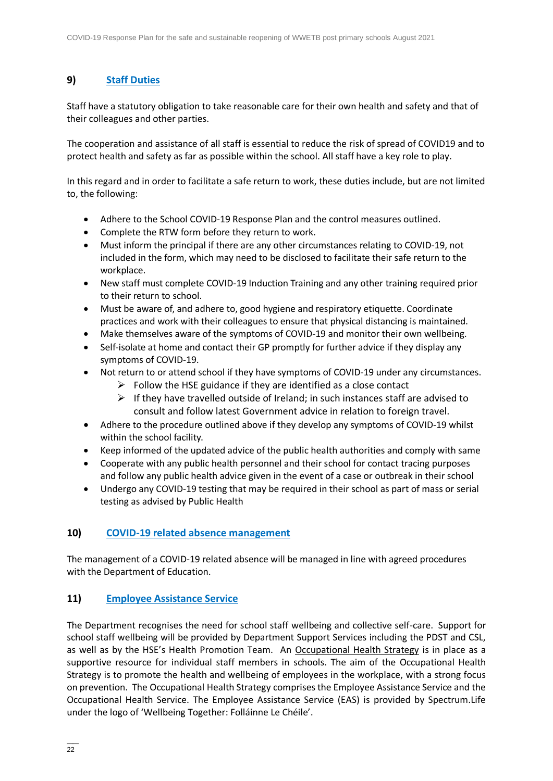## **9) [Staff Duties](#page-1-18)**

Staff have a statutory obligation to take reasonable care for their own health and safety and that of their colleagues and other parties.

The cooperation and assistance of all staff is essential to reduce the risk of spread of COVID19 and to protect health and safety as far as possible within the school. All staff have a key role to play.

In this regard and in order to facilitate a safe return to work, these duties include, but are not limited to, the following:

- Adhere to the School COVID-19 Response Plan and the control measures outlined.
- Complete the RTW form before they return to work.
- Must inform the principal if there are any other circumstances relating to COVID-19, not included in the form, which may need to be disclosed to facilitate their safe return to the workplace.
- New staff must complete COVID-19 Induction Training and any other training required prior to their return to school.
- Must be aware of, and adhere to, good hygiene and respiratory etiquette. Coordinate practices and work with their colleagues to ensure that physical distancing is maintained.
- Make themselves aware of the symptoms of COVID-19 and monitor their own wellbeing.
- Self-isolate at home and contact their GP promptly for further advice if they display any symptoms of COVID-19.
- Not return to or attend school if they have symptoms of COVID-19 under any circumstances.
	- $\triangleright$  Follow the HSE guidance if they are identified as a close contact
		- $\triangleright$  If they have travelled outside of Ireland; in such instances staff are advised to consult and follow latest Government advice in relation to foreign travel.
- Adhere to the procedure outlined above if they develop any symptoms of COVID-19 whilst within the school facility.
- Keep informed of the updated advice of the public health authorities and comply with same
- Cooperate with any public health personnel and their school for contact tracing purposes and follow any public health advice given in the event of a case or outbreak in their school
- Undergo any COVID-19 testing that may be required in their school as part of mass or serial testing as advised by Public Health

#### **10) COVID-19 [related absence management](#page-1-19)**

The management of a COVID-19 related absence will be managed in line with agreed procedures with the Department of Education.

#### **11) [Employee Assistance Service](#page-1-20)**

The Department recognises the need for school staff wellbeing and collective self-care. Support for school staff wellbeing will be provided by Department Support Services including the PDST and CSL, as well as by the HSE's Health Promotion Team. An [Occupational Health Strategy](https://www.education.ie/en/Education-Staff/Information/Occupational-Health-Strategy/) is in place as a supportive resource for individual staff members in schools. The aim of the Occupational Health Strategy is to promote the health and wellbeing of employees in the workplace, with a strong focus on prevention. The Occupational Health Strategy comprises the Employee Assistance Service and the Occupational Health Service. The Employee Assistance Service (EAS) is provided by Spectrum.Life under the logo of 'Wellbeing Together: Folláinne Le Chéile'.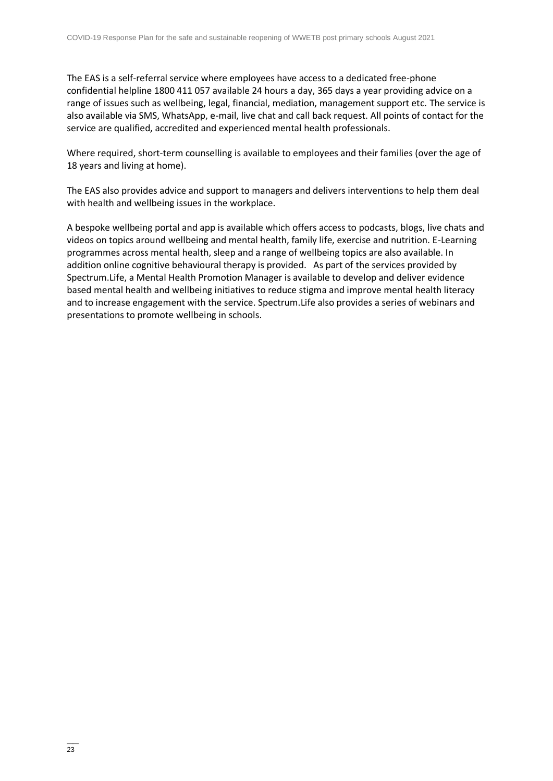The EAS is a self-referral service where employees have access to a dedicated free-phone confidential helpline 1800 411 057 available 24 hours a day, 365 days a year providing advice on a range of issues such as wellbeing, legal, financial, mediation, management support etc. The service is also available via SMS, WhatsApp, e-mail, live chat and call back request. All points of contact for the service are qualified, accredited and experienced mental health professionals.

Where required, short-term counselling is available to employees and their families (over the age of 18 years and living at home).

The EAS also provides advice and support to managers and delivers interventions to help them deal with health and wellbeing issues in the workplace.

A bespoke wellbeing portal and app is available which offers access to podcasts, blogs, live chats and videos on topics around wellbeing and mental health, family life, exercise and nutrition. E-Learning programmes across mental health, sleep and a range of wellbeing topics are also available. In addition online cognitive behavioural therapy is provided. As part of the services provided by Spectrum.Life, a Mental Health Promotion Manager is available to develop and deliver evidence based mental health and wellbeing initiatives to reduce stigma and improve mental health literacy and to increase engagement with the service. Spectrum.Life also provides a series of webinars and presentations to promote wellbeing in schools.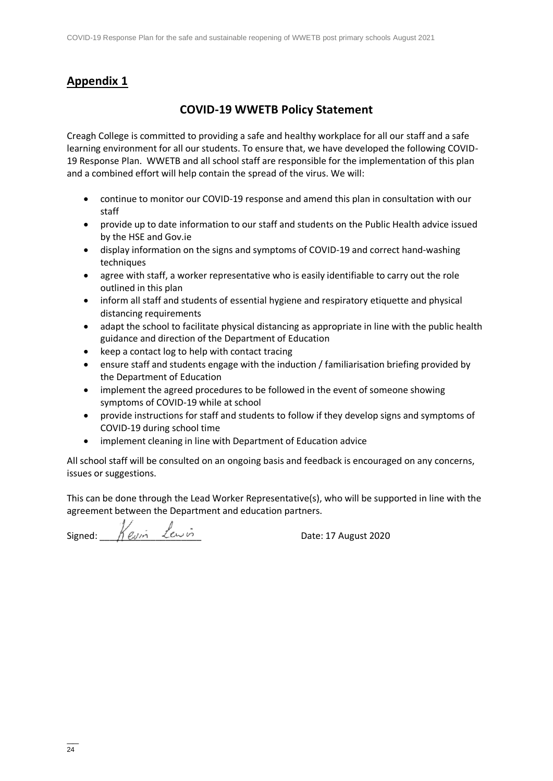## **Appendix 1**

## **COVID-19 WWETB Policy Statement**

Creagh College is committed to providing a safe and healthy workplace for all our staff and a safe learning environment for all our students. To ensure that, we have developed the following COVID-19 Response Plan. WWETB and all school staff are responsible for the implementation of this plan and a combined effort will help contain the spread of the virus. We will:

- continue to monitor our COVID-19 response and amend this plan in consultation with our staff
- provide up to date information to our staff and students on the Public Health advice issued by the HSE and Gov.ie
- display information on the signs and symptoms of COVID-19 and correct hand-washing techniques
- agree with staff, a worker representative who is easily identifiable to carry out the role outlined in this plan
- inform all staff and students of essential hygiene and respiratory etiquette and physical distancing requirements
- adapt the school to facilitate physical distancing as appropriate in line with the public health guidance and direction of the Department of Education
- keep a contact log to help with contact tracing
- ensure staff and students engage with the induction / familiarisation briefing provided by the Department of Education
- implement the agreed procedures to be followed in the event of someone showing symptoms of COVID-19 while at school
- provide instructions for staff and students to follow if they develop signs and symptoms of COVID-19 during school time
- implement cleaning in line with Department of Education advice

All school staff will be consulted on an ongoing basis and feedback is encouraged on any concerns, issues or suggestions.

This can be done through the Lead Worker Representative(s), who will be supported in line with the agreement between the Department and education partners.

Signed:  $\frac{1}{\sqrt{2\pi}}$   $\frac{1}{\sqrt{2\pi}}$  Date: 17 August 2020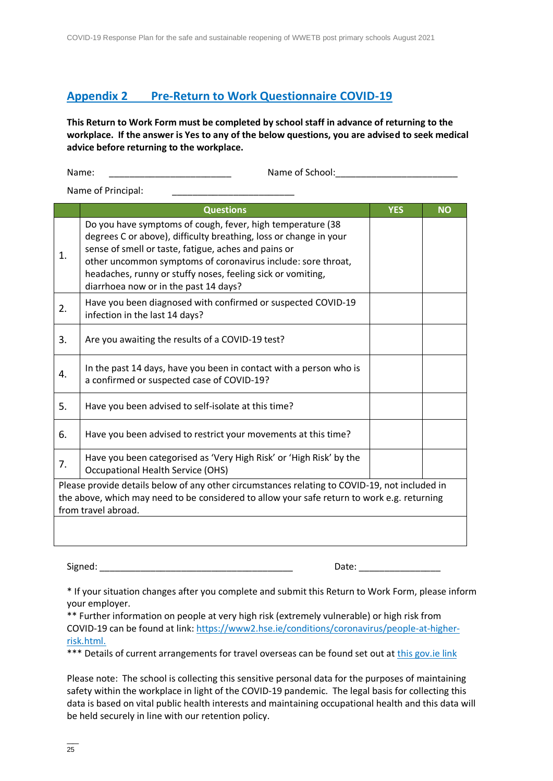## <span id="page-24-0"></span>**Appendix 2 [Pre-Return to Work Questionnaire COVID-19](#page-24-0)**

**This Return to Work Form must be completed by school staff in advance of returning to the workplace. If the answer is Yes to any of the below questions, you are advised to seek medical advice before returning to the workplace.**

Name: \_\_\_\_\_\_\_\_\_\_\_\_\_\_\_\_\_\_\_\_\_\_\_\_ Name of School:\_\_\_\_\_\_\_\_\_\_\_\_\_\_\_\_\_\_\_\_\_\_\_\_

Name of Principal:

|                                                                                                                                                                                                                     | <b>Questions</b>                                                                                                                                                                                                                                                                                                                                                | <b>YES</b> | <b>NO</b> |  |
|---------------------------------------------------------------------------------------------------------------------------------------------------------------------------------------------------------------------|-----------------------------------------------------------------------------------------------------------------------------------------------------------------------------------------------------------------------------------------------------------------------------------------------------------------------------------------------------------------|------------|-----------|--|
| $\mathbf{1}$ .                                                                                                                                                                                                      | Do you have symptoms of cough, fever, high temperature (38<br>degrees C or above), difficulty breathing, loss or change in your<br>sense of smell or taste, fatigue, aches and pains or<br>other uncommon symptoms of coronavirus include: sore throat,<br>headaches, runny or stuffy noses, feeling sick or vomiting,<br>diarrhoea now or in the past 14 days? |            |           |  |
| 2.                                                                                                                                                                                                                  | Have you been diagnosed with confirmed or suspected COVID-19<br>infection in the last 14 days?                                                                                                                                                                                                                                                                  |            |           |  |
| 3.                                                                                                                                                                                                                  | Are you awaiting the results of a COVID-19 test?                                                                                                                                                                                                                                                                                                                |            |           |  |
| 4.                                                                                                                                                                                                                  | In the past 14 days, have you been in contact with a person who is<br>a confirmed or suspected case of COVID-19?                                                                                                                                                                                                                                                |            |           |  |
| 5.                                                                                                                                                                                                                  | Have you been advised to self-isolate at this time?                                                                                                                                                                                                                                                                                                             |            |           |  |
| 6.                                                                                                                                                                                                                  | Have you been advised to restrict your movements at this time?                                                                                                                                                                                                                                                                                                  |            |           |  |
| 7.                                                                                                                                                                                                                  | Have you been categorised as 'Very High Risk' or 'High Risk' by the<br><b>Occupational Health Service (OHS)</b>                                                                                                                                                                                                                                                 |            |           |  |
| Please provide details below of any other circumstances relating to COVID-19, not included in<br>the above, which may need to be considered to allow your safe return to work e.g. returning<br>from travel abroad. |                                                                                                                                                                                                                                                                                                                                                                 |            |           |  |
|                                                                                                                                                                                                                     |                                                                                                                                                                                                                                                                                                                                                                 |            |           |  |

Signed: \_\_\_\_\_\_\_\_\_\_\_\_\_\_\_\_\_\_\_\_\_\_\_\_\_\_\_\_\_\_\_\_\_\_\_\_\_\_ Date: \_\_\_\_\_\_\_\_\_\_\_\_\_\_\_\_

\* If your situation changes after you complete and submit this Return to Work Form, please inform your employer.

\*\* Further information on people at very high risk (extremely vulnerable) or high risk from COVID-19 can be found at link[: https://www2.hse.ie/conditions/coronavirus/people-at-higher](https://www2.hse.ie/conditions/covid19/people-at-higher-risk/overview/)[risk.html.](https://www2.hse.ie/conditions/covid19/people-at-higher-risk/overview/) 

\*\*\* Details of current arrangements for travel overseas can be found set out at [this gov.ie link](https://www.gov.ie/en/publication/77952-government-advice-on-international-travel/)

Please note: The school is collecting this sensitive personal data for the purposes of maintaining safety within the workplace in light of the COVID-19 pandemic. The legal basis for collecting this data is based on vital public health interests and maintaining occupational health and this data will be held securely in line with our retention policy.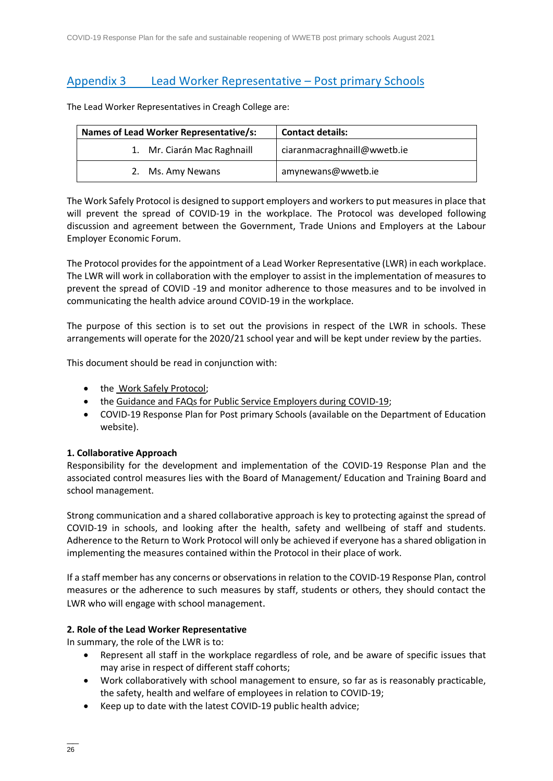## <span id="page-25-0"></span>Appendix 3 [Lead Worker Representative](#page-25-0) – Post primary Schools

The Lead Worker Representatives in Creagh College are:

| Names of Lead Worker Representative/s: | <b>Contact details:</b>     |  |  |  |
|----------------------------------------|-----------------------------|--|--|--|
| 1. Mr. Ciarán Mac Raghnaill            | ciaranmacraghnaill@wwetb.ie |  |  |  |
| 2. Ms. Amy Newans                      | amynewans@wwetb.ie          |  |  |  |

The Work Safely Protocol is designed to support employers and workers to put measures in place that will prevent the spread of COVID-19 in the workplace. The Protocol was developed following discussion and agreement between the Government, Trade Unions and Employers at the Labour Employer Economic Forum.

The Protocol provides for the appointment of a Lead Worker Representative (LWR) in each workplace. The LWR will work in collaboration with the employer to assist in the implementation of measures to prevent the spread of COVID -19 and monitor adherence to those measures and to be involved in communicating the health advice around COVID-19 in the workplace.

The purpose of this section is to set out the provisions in respect of the LWR in schools. These arrangements will operate for the 2020/21 school year and will be kept under review by the parties.

This document should be read in conjunction with:

- the [Work Safely Protocol;](https://www.gov.ie/en/publication/22829a-return-to-work-safely-protocol/)
- the [Guidance and FAQs for Public Service Employers during COVID-19;](https://www.gov.ie/en/news/092fff-update-on-working-arrangements-and-leave-associated-with-covid-19-fo/)
- COVID-19 Response Plan for Post primary Schools (available on the Department of Education website).

#### **1. Collaborative Approach**

Responsibility for the development and implementation of the COVID-19 Response Plan and the associated control measures lies with the Board of Management/ Education and Training Board and school management.

Strong communication and a shared collaborative approach is key to protecting against the spread of COVID-19 in schools, and looking after the health, safety and wellbeing of staff and students. Adherence to the Return to Work Protocol will only be achieved if everyone has a shared obligation in implementing the measures contained within the Protocol in their place of work.

If a staff member has any concerns or observations in relation to the COVID-19 Response Plan, control measures or the adherence to such measures by staff, students or others, they should contact the LWR who will engage with school management.

#### **2. Role of the Lead Worker Representative**

In summary, the role of the LWR is to:

- Represent all staff in the workplace regardless of role, and be aware of specific issues that may arise in respect of different staff cohorts;
- Work collaboratively with school management to ensure, so far as is reasonably practicable, the safety, health and welfare of employees in relation to COVID-19;
- Keep up to date with the latest COVID-19 public health advice;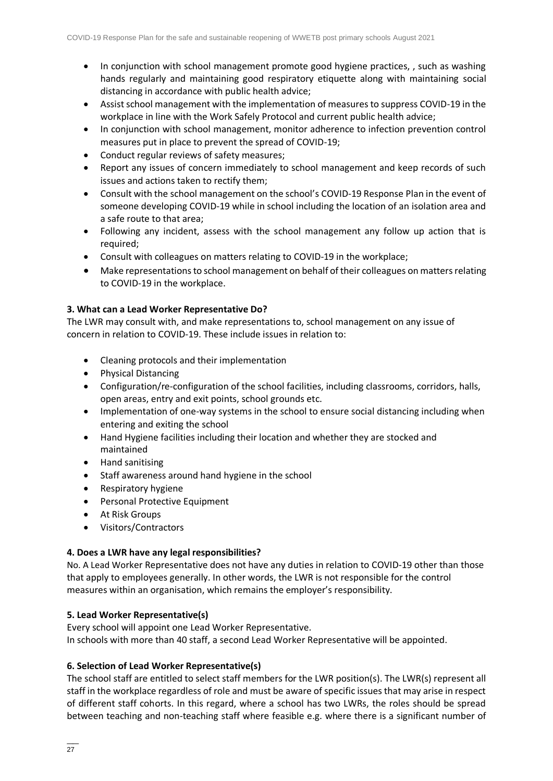- In conjunction with school management promote good hygiene practices, , such as washing hands regularly and maintaining good respiratory etiquette along with maintaining social distancing in accordance with public health advice;
- Assist school management with the implementation of measures to suppress COVID-19 in the workplace in line with the Work Safely Protocol and current public health advice;
- In conjunction with school management, monitor adherence to infection prevention control measures put in place to prevent the spread of COVID-19;
- Conduct regular reviews of safety measures;
- Report any issues of concern immediately to school management and keep records of such issues and actions taken to rectify them;
- Consult with the school management on the school's COVID-19 Response Plan in the event of someone developing COVID-19 while in school including the location of an isolation area and a safe route to that area;
- Following any incident, assess with the school management any follow up action that is required;
- Consult with colleagues on matters relating to COVID-19 in the workplace;
- Make representations to school management on behalf of their colleagues on matters relating to COVID-19 in the workplace.

#### **3. What can a Lead Worker Representative Do?**

The LWR may consult with, and make representations to, school management on any issue of concern in relation to COVID-19. These include issues in relation to:

- Cleaning protocols and their implementation
- Physical Distancing
- Configuration/re-configuration of the school facilities, including classrooms, corridors, halls, open areas, entry and exit points, school grounds etc.
- Implementation of one-way systems in the school to ensure social distancing including when entering and exiting the school
- Hand Hygiene facilities including their location and whether they are stocked and maintained
- Hand sanitising
- Staff awareness around hand hygiene in the school
- Respiratory hygiene
- Personal Protective Equipment
- At Risk Groups
- Visitors/Contractors

#### **4. Does a LWR have any legal responsibilities?**

No. A Lead Worker Representative does not have any duties in relation to COVID-19 other than those that apply to employees generally. In other words, the LWR is not responsible for the control measures within an organisation, which remains the employer's responsibility.

#### **5. Lead Worker Representative(s)**

Every school will appoint one Lead Worker Representative. In schools with more than 40 staff, a second Lead Worker Representative will be appointed.

#### **6. Selection of Lead Worker Representative(s)**

The school staff are entitled to select staff members for the LWR position(s). The LWR(s) represent all staff in the workplace regardless of role and must be aware of specific issues that may arise in respect of different staff cohorts. In this regard, where a school has two LWRs, the roles should be spread between teaching and non-teaching staff where feasible e.g. where there is a significant number of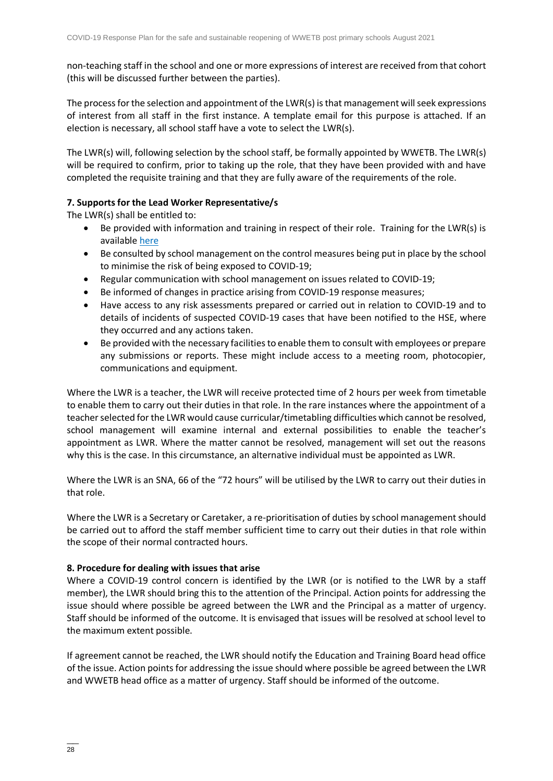non-teaching staff in the school and one or more expressions of interest are received from that cohort (this will be discussed further between the parties).

The process for the selection and appointment of the LWR(s) is that management will seek expressions of interest from all staff in the first instance. A template email for this purpose is attached. If an election is necessary, all school staff have a vote to select the LWR(s).

The LWR(s) will, following selection by the school staff, be formally appointed by WWETB. The LWR(s) will be required to confirm, prior to taking up the role, that they have been provided with and have completed the requisite training and that they are fully aware of the requirements of the role.

#### **7. Supports for the Lead Worker Representative/s**

The LWR(s) shall be entitled to:

- Be provided with information and training in respect of their role. Training for the LWR(s) is available [here](https://www.gov.ie/en/publication/dd7fb-induction-training-for-reopening-schools/#cleaning-induction)
- Be consulted by school management on the control measures being put in place by the school to minimise the risk of being exposed to COVID-19;
- Regular communication with school management on issues related to COVID-19;
- Be informed of changes in practice arising from COVID-19 response measures;
- Have access to any risk assessments prepared or carried out in relation to COVID-19 and to details of incidents of suspected COVID-19 cases that have been notified to the HSE, where they occurred and any actions taken.
- Be provided with the necessary facilities to enable them to consult with employees or prepare any submissions or reports. These might include access to a meeting room, photocopier, communications and equipment.

Where the LWR is a teacher, the LWR will receive protected time of 2 hours per week from timetable to enable them to carry out their duties in that role. In the rare instances where the appointment of a teacher selected for the LWR would cause curricular/timetabling difficulties which cannot be resolved, school management will examine internal and external possibilities to enable the teacher's appointment as LWR. Where the matter cannot be resolved, management will set out the reasons why this is the case. In this circumstance, an alternative individual must be appointed as LWR.

Where the LWR is an SNA, 66 of the "72 hours" will be utilised by the LWR to carry out their duties in that role.

Where the LWR is a Secretary or Caretaker, a re-prioritisation of duties by school management should be carried out to afford the staff member sufficient time to carry out their duties in that role within the scope of their normal contracted hours.

#### **8. Procedure for dealing with issues that arise**

Where a COVID-19 control concern is identified by the LWR (or is notified to the LWR by a staff member), the LWR should bring this to the attention of the Principal. Action points for addressing the issue should where possible be agreed between the LWR and the Principal as a matter of urgency. Staff should be informed of the outcome. It is envisaged that issues will be resolved at school level to the maximum extent possible.

If agreement cannot be reached, the LWR should notify the Education and Training Board head office of the issue. Action points for addressing the issue should where possible be agreed between the LWR and WWETB head office as a matter of urgency. Staff should be informed of the outcome.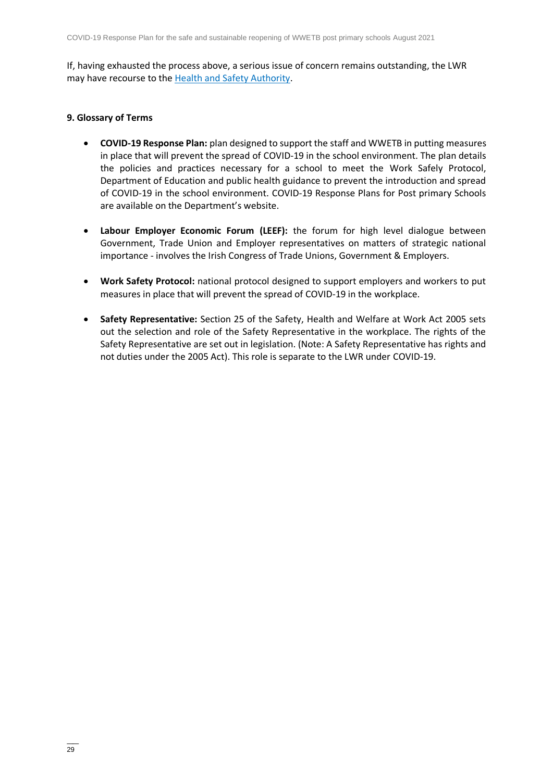If, having exhausted the process above, a serious issue of concern remains outstanding, the LWR may have recourse to the [Health and Safety Authority.](https://www.hsa.ie/)

#### **9. Glossary of Terms**

- **COVID-19 Response Plan:** plan designed to support the staff and WWETB in putting measures in place that will prevent the spread of COVID-19 in the school environment. The plan details the policies and practices necessary for a school to meet the Work Safely Protocol, Department of Education and public health guidance to prevent the introduction and spread of COVID-19 in the school environment. COVID-19 Response Plans for Post primary Schools are available on the Department's website.
- **Labour Employer Economic Forum (LEEF):** the forum for high level dialogue between Government, Trade Union and Employer representatives on matters of strategic national importance - involves the Irish Congress of Trade Unions, Government & Employers.
- **Work Safety Protocol:** national protocol designed to support employers and workers to put measures in place that will prevent the spread of COVID-19 in the workplace.
- **Safety Representative:** Section 25 of the Safety, Health and Welfare at Work Act 2005 sets out the selection and role of the Safety Representative in the workplace. The rights of the Safety Representative are set out in legislation. (Note: A Safety Representative has rights and not duties under the 2005 Act). This role is separate to the LWR under COVID-19.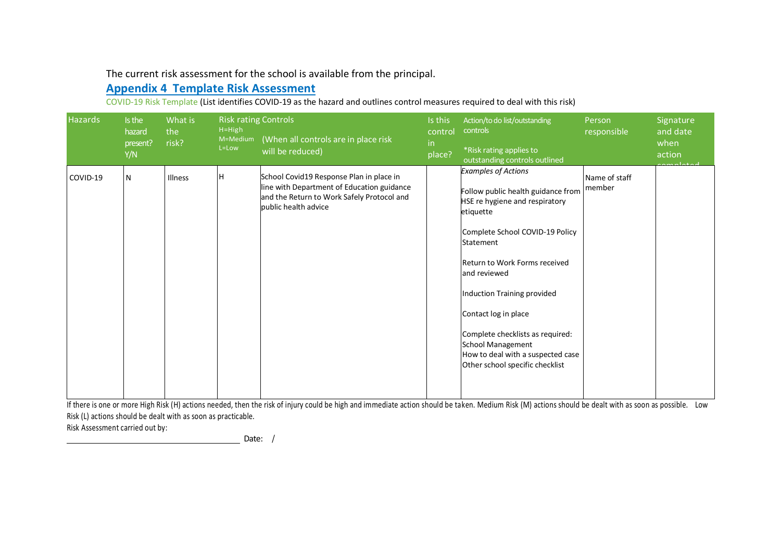The current risk assessment for the school is available from the principal.

## **Appendix 4 Template [Risk Assessment](#page-29-0)**

COVID-19 Risk Template (List identifies COVID-19 as the hazard and outlines control measures required to deal with this risk)

<span id="page-29-0"></span>

| <b>Hazards</b> | Is the<br>hazard<br>present?<br>Y/N | What is<br>the<br>risk? | <b>Risk rating Controls</b><br>$H = High$<br>M=Medium<br>L=Low | (When all controls are in place risk<br>will be reduced)                                                                                                     | Is this<br>control<br>in.<br>place? | Action/to do list/outstanding<br>controls<br>*Risk rating applies to<br>outstanding controls outlined                                                                                                                                                                                                                                                                                                           | Person<br>responsible   | Signature<br>and date<br>when<br>action |
|----------------|-------------------------------------|-------------------------|----------------------------------------------------------------|--------------------------------------------------------------------------------------------------------------------------------------------------------------|-------------------------------------|-----------------------------------------------------------------------------------------------------------------------------------------------------------------------------------------------------------------------------------------------------------------------------------------------------------------------------------------------------------------------------------------------------------------|-------------------------|-----------------------------------------|
| COVID-19       | N                                   | Illness                 | lH.                                                            | School Covid19 Response Plan in place in<br>line with Department of Education guidance<br>and the Return to Work Safely Protocol and<br>public health advice |                                     | <b>Examples of Actions</b><br>Follow public health guidance from<br>HSE re hygiene and respiratory<br>etiquette<br>Complete School COVID-19 Policy<br>Statement<br>Return to Work Forms received<br>and reviewed<br>Induction Training provided<br>Contact log in place<br>Complete checklists as required:<br><b>School Management</b><br>How to deal with a suspected case<br>Other school specific checklist | Name of staff<br>member |                                         |

If there is one or more High Risk (H) actions needed, then the risk of injury could be high and immediate action should be taken. Medium Risk (M) actions should be dealt with as soon as possible. Low Risk (L) actions should be dealt with as soon as practicable.

Risk Assessment carried out by:

Date: /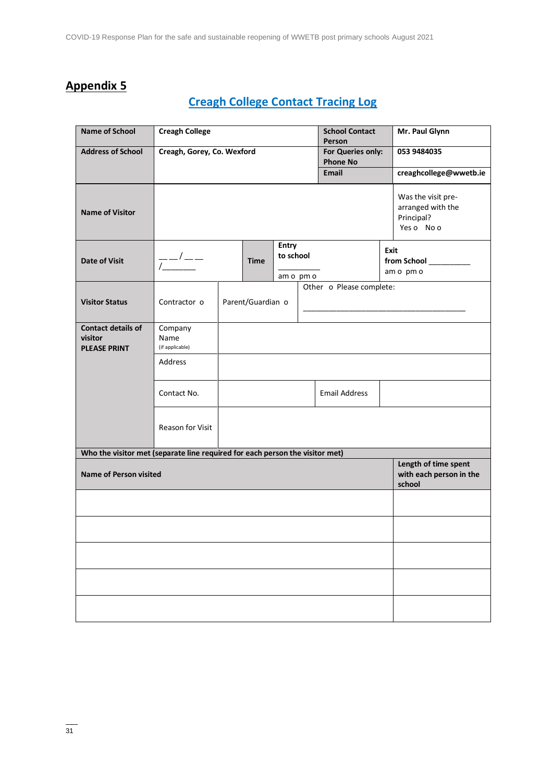# **Appendix 5**

# **Creagh College [Contact Tracing Log](#page-2-0)**

| <b>Name of School</b>                                                        | <b>Creagh College</b>                         |  |                   |                    |  | <b>School Contact</b><br>Person      |                   | Mr. Paul Glynn                                                      |  |
|------------------------------------------------------------------------------|-----------------------------------------------|--|-------------------|--------------------|--|--------------------------------------|-------------------|---------------------------------------------------------------------|--|
| <b>Address of School</b>                                                     | Creagh, Gorey, Co. Wexford                    |  |                   |                    |  | For Queries only:<br><b>Phone No</b> |                   | 053 9484035                                                         |  |
|                                                                              |                                               |  |                   |                    |  | Email                                |                   | creaghcollege@wwetb.ie                                              |  |
| <b>Name of Visitor</b>                                                       |                                               |  |                   |                    |  |                                      |                   | Was the visit pre-<br>arranged with the<br>Principal?<br>Yes o No o |  |
| <b>Date of Visit</b>                                                         | $\frac{1}{1}$ - $\frac{1}{1}$ - $\frac{1}{1}$ |  | <b>Time</b>       | Entry<br>to school |  |                                      | Exit<br>am o pm o |                                                                     |  |
|                                                                              |                                               |  |                   | am o pm o          |  | Other o Please complete:             |                   |                                                                     |  |
| <b>Visitor Status</b>                                                        | Contractor o                                  |  | Parent/Guardian o |                    |  |                                      |                   |                                                                     |  |
| <b>Contact details of</b><br>visitor<br><b>PLEASE PRINT</b>                  | Company<br>Name<br>(if applicable)            |  |                   |                    |  |                                      |                   |                                                                     |  |
|                                                                              | Address                                       |  |                   |                    |  |                                      |                   |                                                                     |  |
|                                                                              | Contact No.                                   |  |                   |                    |  | <b>Email Address</b>                 |                   |                                                                     |  |
|                                                                              | Reason for Visit                              |  |                   |                    |  |                                      |                   |                                                                     |  |
| Who the visitor met (separate line required for each person the visitor met) |                                               |  |                   |                    |  |                                      |                   |                                                                     |  |
| <b>Name of Person visited</b>                                                |                                               |  |                   |                    |  |                                      |                   | Length of time spent<br>with each person in the<br>school           |  |
|                                                                              |                                               |  |                   |                    |  |                                      |                   |                                                                     |  |
|                                                                              |                                               |  |                   |                    |  |                                      |                   |                                                                     |  |
|                                                                              |                                               |  |                   |                    |  |                                      |                   |                                                                     |  |
|                                                                              |                                               |  |                   |                    |  |                                      |                   |                                                                     |  |
|                                                                              |                                               |  |                   |                    |  |                                      |                   |                                                                     |  |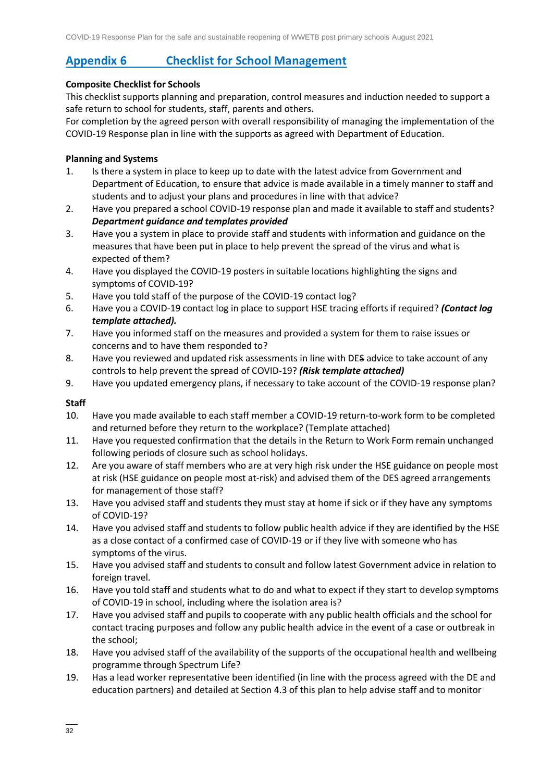# **Appendix 6 [Checklist for School Management](#page-2-1)**

#### **Composite Checklist for Schools**

This checklist supports planning and preparation, control measures and induction needed to support a safe return to school for students, staff, parents and others.

For completion by the agreed person with overall responsibility of managing the implementation of the COVID-19 Response plan in line with the supports as agreed with Department of Education.

#### **Planning and Systems**

- 1. Is there a system in place to keep up to date with the latest advice from Government and Department of Education, to ensure that advice is made available in a timely manner to staff and students and to adjust your plans and procedures in line with that advice?
- 2. Have you prepared a school COVID-19 response plan and made it available to staff and students? *Department guidance and templates provided*
- 3. Have you a system in place to provide staff and students with information and guidance on the measures that have been put in place to help prevent the spread of the virus and what is expected of them?
- 4. Have you displayed the COVID-19 posters in suitable locations highlighting the signs and symptoms of COVID-19?
- 5. Have you told staff of the purpose of the COVID-19 contact log?
- 6. Have you a COVID-19 contact log in place to support HSE tracing efforts if required? *(Contact log template attached).*
- 7. Have you informed staff on the measures and provided a system for them to raise issues or concerns and to have them responded to?
- 8. Have you reviewed and updated risk assessments in line with DES advice to take account of any controls to help prevent the spread of COVID-19? *(Risk template attached)*
- 9. Have you updated emergency plans, if necessary to take account of the COVID-19 response plan?

#### **Staff**

- 10. Have you made available to each staff member a COVID-19 return-to-work form to be completed and returned before they return to the workplace? (Template attached)
- 11. Have you requested confirmation that the details in the Return to Work Form remain unchanged following periods of closure such as school holidays.
- 12. Are you aware of staff members who are at very high risk under the HSE guidance on people most at risk (HSE guidance on people most at-risk) and advised them of the DES agreed arrangements for management of those staff?
- 13. Have you advised staff and students they must stay at home if sick or if they have any [symptoms](https://www2.hse.ie/conditions/coronavirus/symptoms.html)  [of COVID-19?](https://www2.hse.ie/conditions/coronavirus/symptoms.html)
- 14. Have you advised staff and students to follow public health advice if they are identified by the HSE as a close contact of a confirmed case of COVID-19 or if they live with someone who has symptoms of the virus.
- 15. Have you advised staff and students to consult and follow latest Government advice in relation to foreign travel.
- 16. Have you told staff and students what to do and what to expect if they start to develop symptoms of COVID-19 in school, including where the isolation area is?
- 17. Have you advised staff and pupils to cooperate with any public health officials and the school for contact tracing purposes and follow any public health advice in the event of a case or outbreak in the school;
- 18. Have you advised staff of the availability of the supports of the occupational health and wellbeing programme through Spectrum Life?
- 19. Has a lead worker representative been identified (in line with the process agreed with the DE and education partners) and detailed at Section 4.3 of this plan to help advise staff and to monitor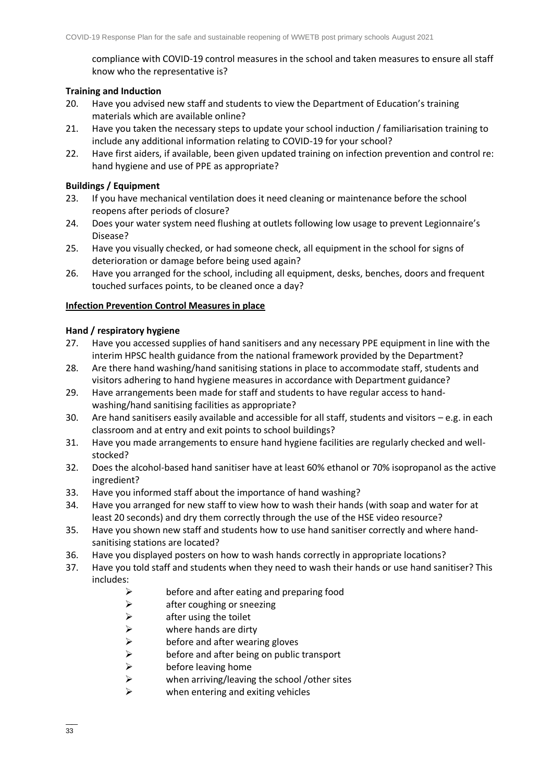compliance with COVID-19 control measures in the school and taken measures to ensure all staff know who the representative is?

#### **Training and Induction**

- 20. Have you advised new staff and students to view the Department of Education's training materials which are available online?
- 21. Have you taken the necessary steps to update your school induction / familiarisation training to include any additional information relating to COVID-19 for your school?
- 22. Have first aiders, if available, been given updated training on infection prevention and control re: hand hygiene and use of PPE as appropriate?

#### **Buildings / Equipment**

- 23. If you have mechanical ventilation does it need cleaning or maintenance before the school reopens after periods of closure?
- 24. Does your water system need flushing at outlets following low usage to prevent Legionnaire's Disease?
- 25. Have you visually checked, or had someone check, all equipment in the school for signs of deterioration or damage before being used again?
- 26. Have you arranged for the school, including all equipment, desks, benches, doors and frequent touched surfaces points, to be cleaned once a day?

#### **Infection Prevention Control Measures in place**

#### **Hand / respiratory hygiene**

- 27. Have you accessed supplies of hand sanitisers and any necessary PPE equipment in line with the interim HPSC health guidance from the national framework provided by the Department?
- 28. Are there hand washing/hand sanitising stations in place to accommodate staff, students and visitors adhering to hand hygiene measures in accordance with Department guidance?
- 29. Have arrangements been made for staff and students to have regular access to handwashing/hand sanitising facilities as appropriate?
- 30. Are hand sanitisers easily available and accessible for all staff, students and visitors e.g. in each classroom and at entry and exit points to school buildings?
- 31. Have you made arrangements to ensure hand hygiene facilities are regularly checked and wellstocked?
- 32. Does the alcohol-based hand sanitiser have at least 60% ethanol or 70% isopropanol as the active ingredient?
- 33. Have you informed staff about the importance of hand washing?
- 34. Have you arranged for new staff to view [how to wash their hands](https://www2.hse.ie/wellbeing/how-to-wash-your-hands.html) (with soap and water for at least 20 seconds) and dry them correctly through the use of the HSE video resource?
- 35. Have you shown new staff and students how to use hand sanitiser correctly and where handsanitising stations are located?
- 36. Have you [displayed posters](https://www.gov.ie/en/collection/ee0781-covid-19-posters-for-public-use/) on how to wash hands correctly in appropriate locations?
- 37. Have you told staff and students when they need to wash their hands or use hand sanitiser? This includes:
	- $\triangleright$  before and after eating and preparing food
	- ➢ after coughing or sneezing
	- $\triangleright$  after using the toilet
	-
	- before and after wearing gloves
	- $\triangleright$  where hands are dirty<br>before and after wear<br> $\triangleright$  before and after being  $\triangleright$  before and after being on public transport<br>  $\triangleright$  before leaving home
	-
	- $\triangleright$  before leaving home<br>  $\triangleright$  when arriving/leaving when arriving/leaving the school /other sites
	- when entering and exiting vehicles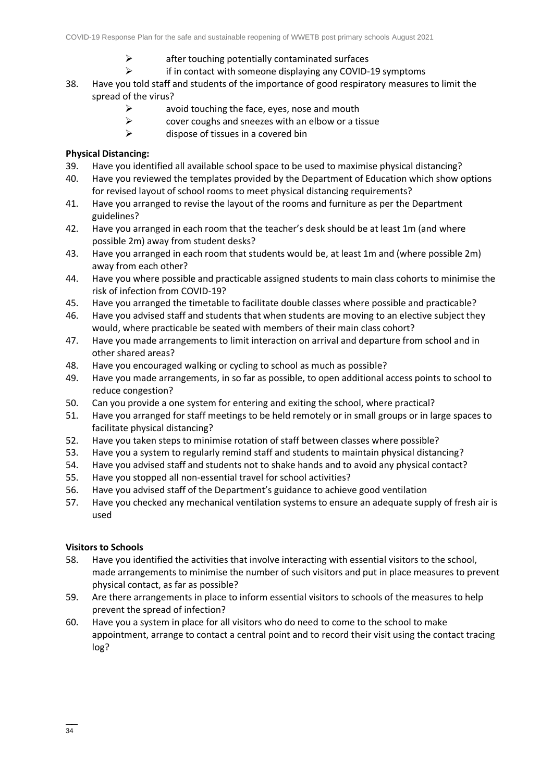- $\triangleright$  after touching potentially contaminated surfaces
- ➢ if in contact with someone displaying any COVID-19 symptoms
- 38. Have you told staff and students of the importance of good respiratory measures to limit the spread of the virus?
	- $\triangleright$  avoid touching the face, eves, nose and mouth
	- ➢ cover coughs and sneezes with an elbow or a tissue
	- $\triangleright$  dispose of tissues in a covered bin

#### **Physical Distancing:**

- 39. Have you identified all available school space to be used to maximise physical distancing?
- 40. Have you reviewed the templates provided by the Department of Education which show options for revised layout of school rooms to meet physical distancing requirements?
- 41. Have you arranged to revise the layout of the rooms and furniture as per the Department guidelines?
- 42. Have you arranged in each room that the teacher's desk should be at least 1m (and where possible 2m) away from student desks?
- 43. Have you arranged in each room that students would be, at least 1m and (where possible 2m) away from each other?
- 44. Have you where possible and practicable assigned students to main class cohorts to minimise the risk of infection from COVID-19?
- 45. Have you arranged the timetable to facilitate double classes where possible and practicable?
- 46. Have you advised staff and students that when students are moving to an elective subject they would, where practicable be seated with members of their main class cohort?
- 47. Have you made arrangements to limit interaction on arrival and departure from school and in other shared areas?
- 48. Have you encouraged walking or cycling to school as much as possible?
- 49. Have you made arrangements, in so far as possible, to open additional access points to school to reduce congestion?
- 50. Can you provide a one system for entering and exiting the school, where practical?
- 51. Have you arranged for staff meetings to be held remotely or in small groups or in large spaces to facilitate physical distancing?
- 52. Have you taken steps to minimise rotation of staff between classes where possible?
- 53. Have you a system to regularly remind staff and students to maintain physical distancing?
- 54. Have you advised staff and students not to shake hands and to avoid any physical contact?
- 55. Have you stopped all non-essential travel for school activities?
- 56. Have you advised staff of the Department's guidance to achieve good ventilation
- 57. Have you checked any mechanical ventilation systems to ensure an adequate supply of fresh air is used

#### **Visitors to Schools**

- 58. Have you identified the activities that involve interacting with essential visitors to the school, made arrangements to minimise the number of such visitors and put in place measures to prevent physical contact, as far as possible?
- 59. Are there arrangements in place to inform essential visitors to schools of the measures to help prevent the spread of infection?
- 60. Have you a system in place for all visitors who do need to come to the school to make appointment, arrange to contact a central point and to record their visit using the contact tracing log?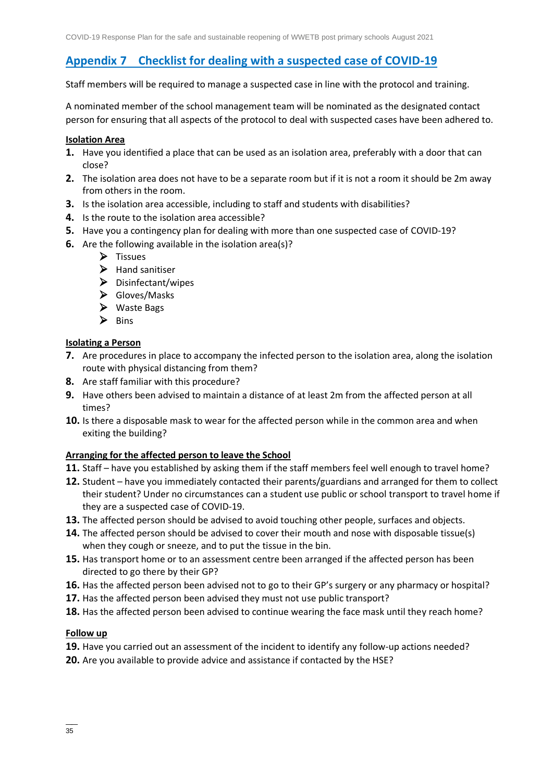## **[Appendix 7 Checklist for dealing with a suspected case of COVID-19](#page-2-2)**

Staff members will be required to manage a suspected case in line with the protocol and training.

A nominated member of the school management team will be nominated as the designated contact person for ensuring that all aspects of the protocol to deal with suspected cases have been adhered to.

#### **Isolation Area**

- **1.** Have you identified a place that can be used as an isolation area, preferably with a door that can close?
- **2.** The isolation area does not have to be a separate room but if it is not a room it should be 2m away from others in the room.
- **3.** Is the isolation area accessible, including to staff and students with disabilities?
- **4.** Is the route to the isolation area accessible?
- **5.** Have you a contingency plan for dealing with more than one suspected case of COVID-19?
- **6.** Are the following available in the isolation area(s)?
	- ➢ Tissues
	- ➢ Hand sanitiser
	- ➢ Disinfectant/wipes
	- ➢ Gloves/Masks
	- ➢ Waste Bags
	- ➢ Bins

#### **Isolating a Person**

- **7.** Are procedures in place to accompany the infected person to the isolation area, along the isolation route with physical distancing from them?
- **8.** Are staff familiar with this procedure?
- **9.** Have others been advised to maintain a distance of at least 2m from the affected person at all times?
- **10.** Is there a disposable mask to wear for the affected person while in the common area and when exiting the building?

#### **Arranging for the affected person to leave the School**

- **11.** Staff have you established by asking them if the staff members feel well enough to travel home?
- **12.** Student have you immediately contacted their parents/guardians and arranged for them to collect their student? Under no circumstances can a student use public or school transport to travel home if they are a suspected case of COVID-19.
- **13.** The affected person should be advised to avoid touching other people, surfaces and objects.
- **14.** The affected person should be advised to cover their mouth and nose with disposable tissue(s) when they cough or sneeze, and to put the tissue in the bin.
- **15.** Has transport home or to an assessment centre been arranged if the affected person has been directed to go there by their GP?
- **16.** Has the affected person been advised not to go to their GP's surgery or any pharmacy or hospital?
- **17.** Has the affected person been advised they must not use public transport?
- **18.** Has the affected person been advised to continue wearing the face mask until they reach home?

#### **Follow up**

- **19.** Have you carried out an assessment of the incident to identify any follow-up actions needed?
- **20.** Are you available to provide advice and assistance if contacted by the HSE?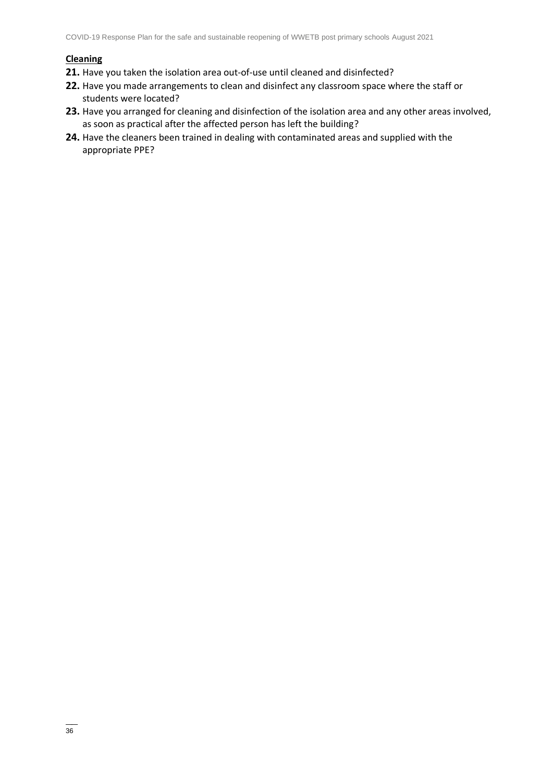#### **Cleaning**

- **21.** Have you taken the isolation area out-of-use until cleaned and disinfected?
- **22.** Have you made arrangements to clean and disinfect any classroom space where the staff or students were located?
- **23.** Have you arranged for cleaning and disinfection of the isolation area and any other areas involved, as soon as practical after the affected person has left the building?
- **24.** Have the cleaners been trained in dealing with contaminated areas and supplied with the appropriate PPE?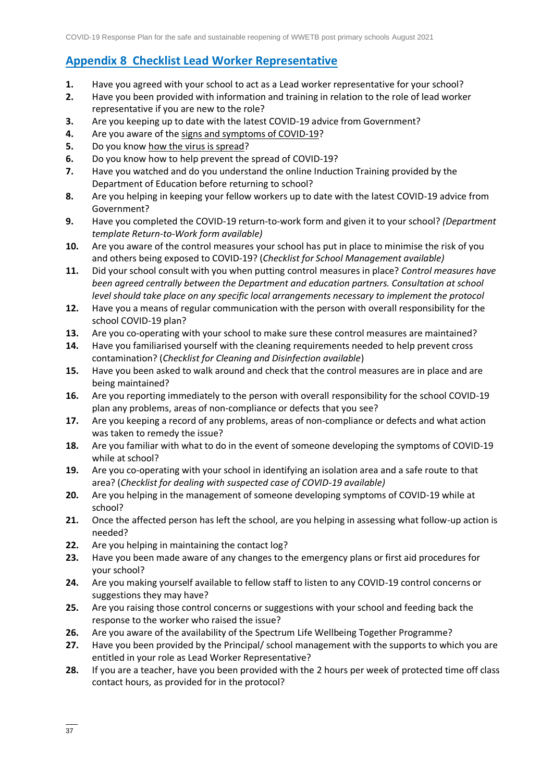## **Appendix 8 [Checklist Lead Worker Representative](#page-2-3)**

- **1.** Have you agreed with your school to act as a Lead worker representative for your school?
- **2.** Have you been provided with information and training in relation to the role of lead worker representative if you are new to the role?
- **3.** Are you keeping up to date with the latest COVID-19 advice from Government?
- **4.** Are you aware of the [signs and symptoms of COVID-19?](https://www2.hse.ie/conditions/coronavirus/symptoms.html)
- **5.** Do you know [how the virus is spread?](https://www2.hse.ie/conditions/coronavirus/how-coronavirus-is-spread.html)
- **6.** Do you know how to help prevent the spread of COVID-19?
- **7.** Have you watched and do you understand the online Induction Training provided by the Department of Education before returning to school?
- **8.** Are you helping in keeping your fellow workers up to date with the latest COVID-19 advice from Government?
- **9.** Have you completed the COVID-19 return-to-work form and given it to your school? *(Department template Return-to-Work form available)*
- **10.** Are you aware of the control measures your school has put in place to minimise the risk of you and others being exposed to COVID-19? (*Checklist for School Management available)*
- **11.** Did your school consult with you when putting control measures in place? *Control measures have been agreed centrally between the Department and education partners. Consultation at school level should take place on any specific local arrangements necessary to implement the protocol*
- **12.** Have you a means of regular communication with the person with overall responsibility for the school COVID-19 plan?
- **13.** Are you co-operating with your school to make sure these control measures are maintained?
- **14.** Have you familiarised yourself with the cleaning requirements needed to help prevent cross contamination? (*Checklist for Cleaning and Disinfection available*)
- **15.** Have you been asked to walk around and check that the control measures are in place and are being maintained?
- **16.** Are you reporting immediately to the person with overall responsibility for the school COVID-19 plan any problems, areas of non-compliance or defects that you see?
- **17.** Are you keeping a record of any problems, areas of non-compliance or defects and what action was taken to remedy the issue?
- **18.** Are you familiar with what to do in the event of someone developing the symptoms of COVID-19 while at school?
- **19.** Are you co-operating with your school in identifying an isolation area and a safe route to that area? (*Checklist for dealing with suspected case of COVID-19 available)*
- **20.** Are you helping in the management of someone developing symptoms of COVID-19 while at school?
- **21.** Once the affected person has left the school, are you helping in assessing what follow-up action is needed?
- **22.** Are you helping in maintaining the contact log?
- **23.** Have you been made aware of any changes to the emergency plans or first aid procedures for your school?
- **24.** Are you making yourself available to fellow staff to listen to any COVID-19 control concerns or suggestions they may have?
- **25.** Are you raising those control concerns or suggestions with your school and feeding back the response to the worker who raised the issue?
- **26.** Are you aware of the availability of the Spectrum Life Wellbeing Together Programme?
- **27.** Have you been provided by the Principal/ school management with the supports to which you are entitled in your role as Lead Worker Representative?
- **28.** If you are a teacher, have you been provided with the 2 hours per week of protected time off class contact hours, as provided for in the protocol?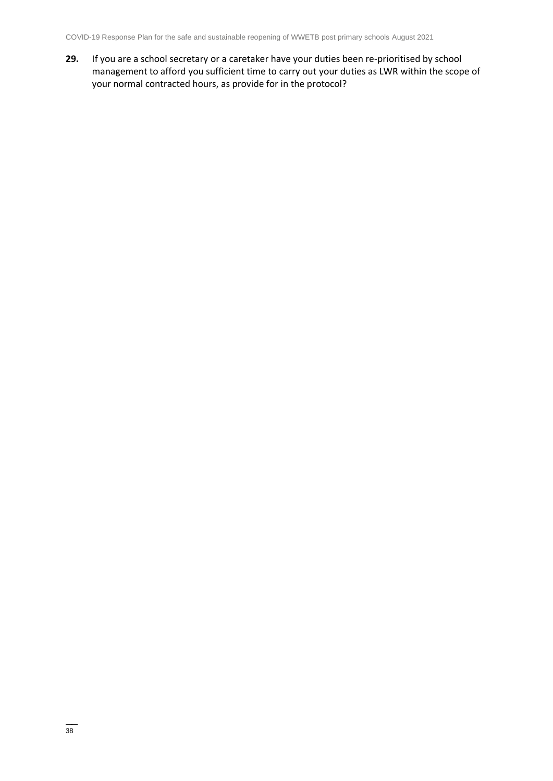**29.** If you are a school secretary or a caretaker have your duties been re-prioritised by school management to afford you sufficient time to carry out your duties as LWR within the scope of your normal contracted hours, as provide for in the protocol?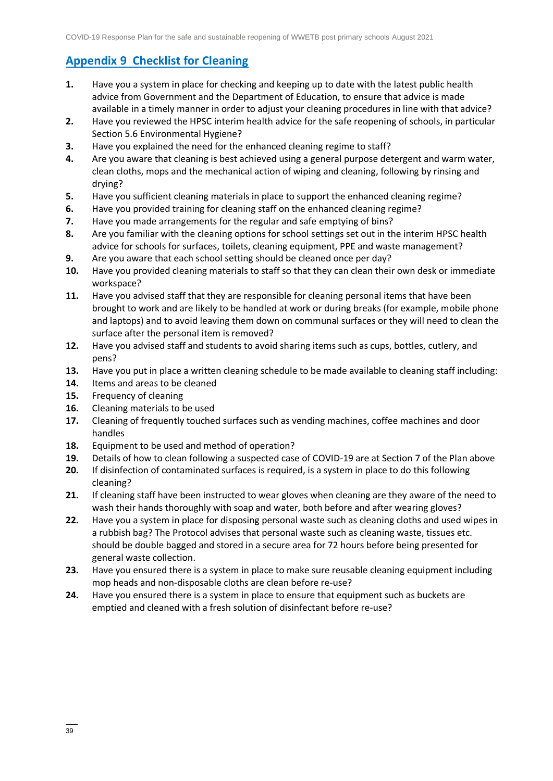# **Appendix 9 [Checklist for Cleaning](#page-2-4)**

- **1.** Have you a system in place for checking and keeping up to date with the latest public health advice from Government and the Department of Education, to ensure that advice is made available in a timely manner in order to adjust your cleaning procedures in line with that advice?
- **2.** Have you reviewed the HPSC interim health advice for the safe reopening of schools, in particular Section 5.6 Environmental Hygiene?
- **3.** Have you explained the need for the enhanced cleaning regime to staff?
- **4.** Are you aware that cleaning is best achieved using a general purpose detergent and warm water, clean cloths, mops and the mechanical action of wiping and cleaning, following by rinsing and drying?
- **5.** Have you sufficient cleaning materials in place to support the enhanced cleaning regime?
- **6.** Have you provided training for cleaning staff on the enhanced cleaning regime?
- **7.** Have you made arrangements for the regular and safe emptying of bins?
- **8.** Are you familiar with the cleaning options for school settings set out in the interim HPSC health advice for schools for surfaces, toilets, cleaning equipment, PPE and waste management?
- **9.** Are you aware that each school setting should be cleaned once per day?
- **10.** Have you provided cleaning materials to staff so that they can clean their own desk or immediate workspace?
- **11.** Have you advised staff that they are responsible for cleaning personal items that have been brought to work and are likely to be handled at work or during breaks (for example, mobile phone and laptops) and to avoid leaving them down on communal surfaces or they will need to clean the surface after the personal item is removed?
- **12.** Have you advised staff and students to avoid sharing items such as cups, bottles, cutlery, and pens?
- **13.** Have you put in place a written cleaning schedule to be made available to cleaning staff including:
- **14.** Items and areas to be cleaned
- **15.** Frequency of cleaning
- **16.** Cleaning materials to be used
- **17.** Cleaning of frequently touched surfaces such as vending machines, coffee machines and door handles
- **18.** Equipment to be used and method of operation?
- **19.** Details of how to clean following a suspected case of COVID-19 are at Section 7 of the Plan above
- **20.** If disinfection of contaminated surfaces is required, is a system in place to do this following cleaning?
- **21.** If cleaning staff have been instructed to wear gloves when cleaning are they aware of the need to wash their hands thoroughly with soap and water, both before and after wearing gloves?
- **22.** Have you a system in place for disposing personal waste such as cleaning cloths and used wipes in a rubbish bag? The Protocol advises that personal waste such as cleaning waste, tissues etc. should be double bagged and stored in a secure area for 72 hours before being presented for general waste collection.
- **23.** Have you ensured there is a system in place to make sure reusable cleaning equipment including mop heads and non-disposable cloths are clean before re-use?
- **24.** Have you ensured there is a system in place to ensure that equipment such as buckets are emptied and cleaned with a fresh solution of disinfectant before re-use?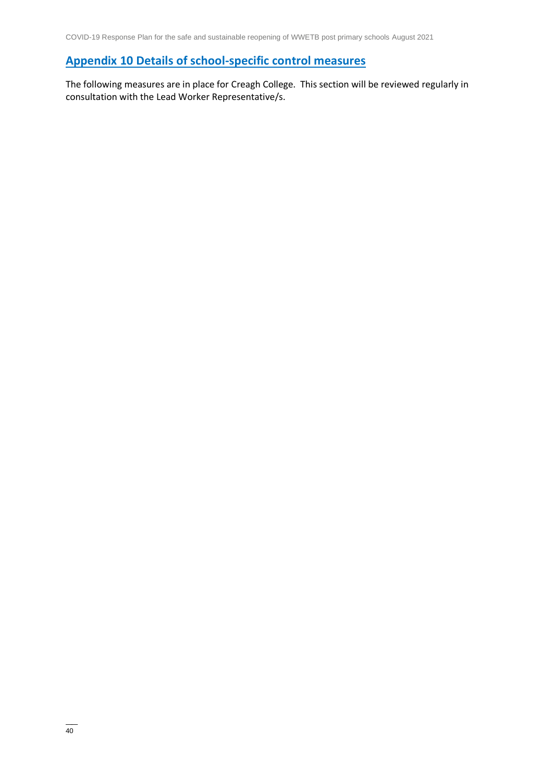# **Appendix 10 [Details of school-specific control measures](#page-2-5)**

The following measures are in place for Creagh College. This section will be reviewed regularly in consultation with the Lead Worker Representative/s.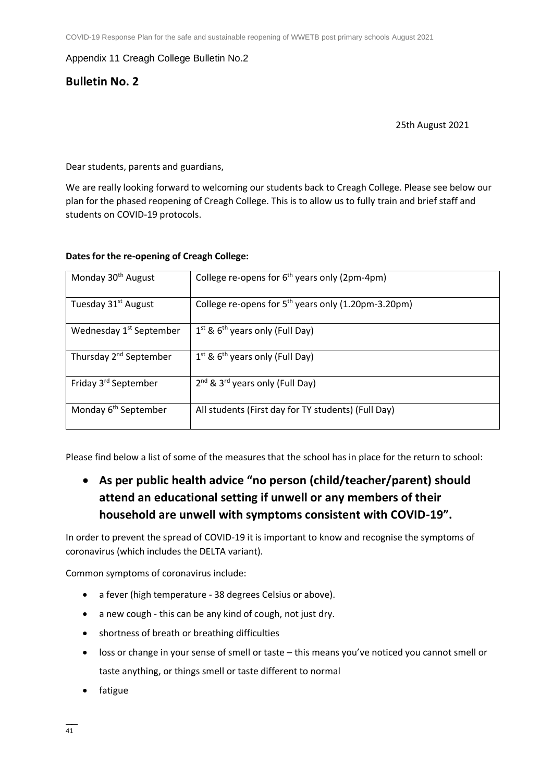#### Appendix 11 Creagh College Bulletin No.2

## **Bulletin No. 2**

#### 25th August 2021

Dear students, parents and guardians,

We are really looking forward to welcoming our students back to Creagh College. Please see below our plan for the phased reopening of Creagh College. This is to allow us to fully train and brief staff and students on COVID-19 protocols.

#### **Dates for the re-opening of Creagh College:**

| Monday 30 <sup>th</sup> August      | College re-opens for $6th$ years only (2pm-4pm)                 |
|-------------------------------------|-----------------------------------------------------------------|
| Tuesday 31 <sup>st</sup> August     | College re-opens for 5 <sup>th</sup> years only (1.20pm-3.20pm) |
| Wednesday 1 <sup>st</sup> September | $1^{st}$ & $6^{th}$ years only (Full Day)                       |
| Thursday 2 <sup>nd</sup> September  | $1^{st}$ & 6 <sup>th</sup> years only (Full Day)                |
| Friday 3rd September                | 2 <sup>nd</sup> & 3 <sup>rd</sup> years only (Full Day)         |
| Monday 6 <sup>th</sup> September    | All students (First day for TY students) (Full Day)             |

Please find below a list of some of the measures that the school has in place for the return to school:

# • **As per public health advice "no person (child/teacher/parent) should attend an educational setting if unwell or any members of their household are unwell with symptoms consistent with COVID-19".**

In order to prevent the spread of COVID-19 it is important to know and recognise the symptoms of coronavirus (which includes the DELTA variant).

Common symptoms of coronavirus include:

- a fever (high temperature 38 degrees Celsius or above).
- a new cough this can be any kind of cough, not just dry.
- shortness of breath or breathing difficulties
- loss or change in your sense of smell or taste this means you've noticed you cannot smell or taste anything, or things smell or taste different to normal
- fatigue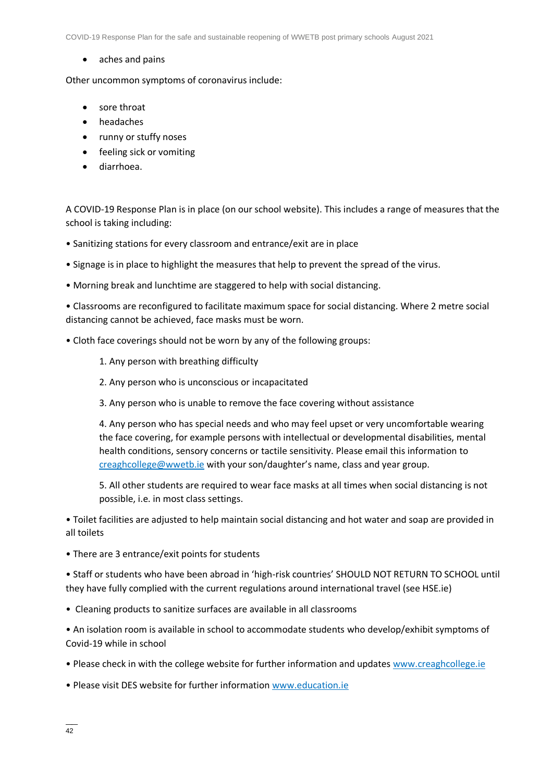COVID-19 Response Plan for the safe and sustainable reopening of WWETB post primary schools August 2021

• aches and pains

Other uncommon symptoms of coronavirus include:

- sore throat
- headaches
- runny or stuffy noses
- feeling sick or vomiting
- diarrhoea.

A COVID-19 Response Plan is in place (on our school website). This includes a range of measures that the school is taking including:

- Sanitizing stations for every classroom and entrance/exit are in place
- Signage is in place to highlight the measures that help to prevent the spread of the virus.
- Morning break and lunchtime are staggered to help with social distancing.

• Classrooms are reconfigured to facilitate maximum space for social distancing. Where 2 metre social distancing cannot be achieved, face masks must be worn.

- Cloth face coverings should not be worn by any of the following groups:
	- 1. Any person with breathing difficulty
	- 2. Any person who is unconscious or incapacitated
	- 3. Any person who is unable to remove the face covering without assistance

4. Any person who has special needs and who may feel upset or very uncomfortable wearing the face covering, for example persons with intellectual or developmental disabilities, mental health conditions, sensory concerns or tactile sensitivity. Please email this information to [creaghcollege@wwetb.ie](mailto:creaghcollege@wwetb.ie) with your son/daughter's name, class and year group.

5. All other students are required to wear face masks at all times when social distancing is not possible, i.e. in most class settings.

• Toilet facilities are adjusted to help maintain social distancing and hot water and soap are provided in all toilets

• There are 3 entrance/exit points for students

• Staff or students who have been abroad in 'high-risk countries' SHOULD NOT RETURN TO SCHOOL until they have fully complied with the current regulations around international travel (see HSE.ie)

• Cleaning products to sanitize surfaces are available in all classrooms

• An isolation room is available in school to accommodate students who develop/exhibit symptoms of Covid-19 while in school

- Please check in with the college website for further information and updates www.creaghcollege.ie
- Please visit DES website for further information www.education.ie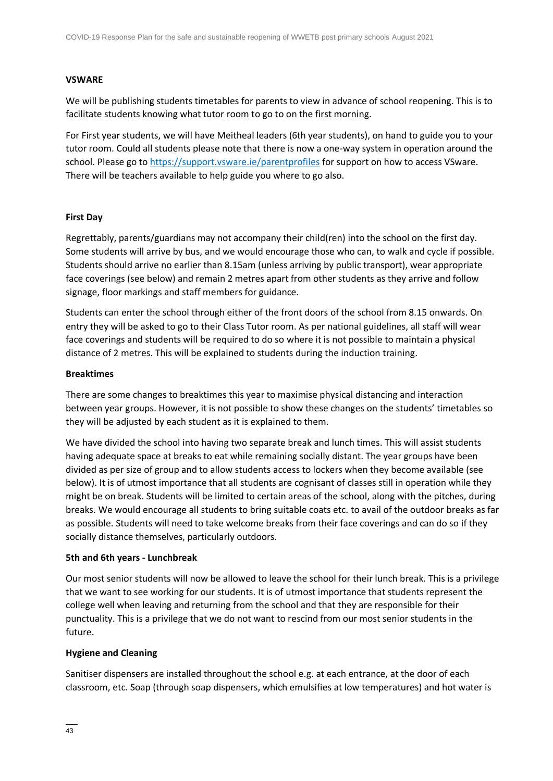#### **VSWARE**

We will be publishing students timetables for parents to view in advance of school reopening. This is to facilitate students knowing what tutor room to go to on the first morning.

For First year students, we will have Meitheal leaders (6th year students), on hand to guide you to your tutor room. Could all students please note that there is now a one-way system in operation around the school. Please go t[o https://support.vsware.ie/parentprofiles](https://support.vsware.ie/parentprofiles) for support on how to access VSware. There will be teachers available to help guide you where to go also.

#### **First Day**

Regrettably, parents/guardians may not accompany their child(ren) into the school on the first day. Some students will arrive by bus, and we would encourage those who can, to walk and cycle if possible. Students should arrive no earlier than 8.15am (unless arriving by public transport), wear appropriate face coverings (see below) and remain 2 metres apart from other students as they arrive and follow signage, floor markings and staff members for guidance.

Students can enter the school through either of the front doors of the school from 8.15 onwards. On entry they will be asked to go to their Class Tutor room. As per national guidelines, all staff will wear face coverings and students will be required to do so where it is not possible to maintain a physical distance of 2 metres. This will be explained to students during the induction training.

#### **Breaktimes**

There are some changes to breaktimes this year to maximise physical distancing and interaction between year groups. However, it is not possible to show these changes on the students' timetables so they will be adjusted by each student as it is explained to them.

We have divided the school into having two separate break and lunch times. This will assist students having adequate space at breaks to eat while remaining socially distant. The year groups have been divided as per size of group and to allow students access to lockers when they become available (see below). It is of utmost importance that all students are cognisant of classes still in operation while they might be on break. Students will be limited to certain areas of the school, along with the pitches, during breaks. We would encourage all students to bring suitable coats etc. to avail of the outdoor breaks as far as possible. Students will need to take welcome breaks from their face coverings and can do so if they socially distance themselves, particularly outdoors.

#### **5th and 6th years - Lunchbreak**

Our most senior students will now be allowed to leave the school for their lunch break. This is a privilege that we want to see working for our students. It is of utmost importance that students represent the college well when leaving and returning from the school and that they are responsible for their punctuality. This is a privilege that we do not want to rescind from our most senior students in the future.

#### **Hygiene and Cleaning**

Sanitiser dispensers are installed throughout the school e.g. at each entrance, at the door of each classroom, etc. Soap (through soap dispensers, which emulsifies at low temperatures) and hot water is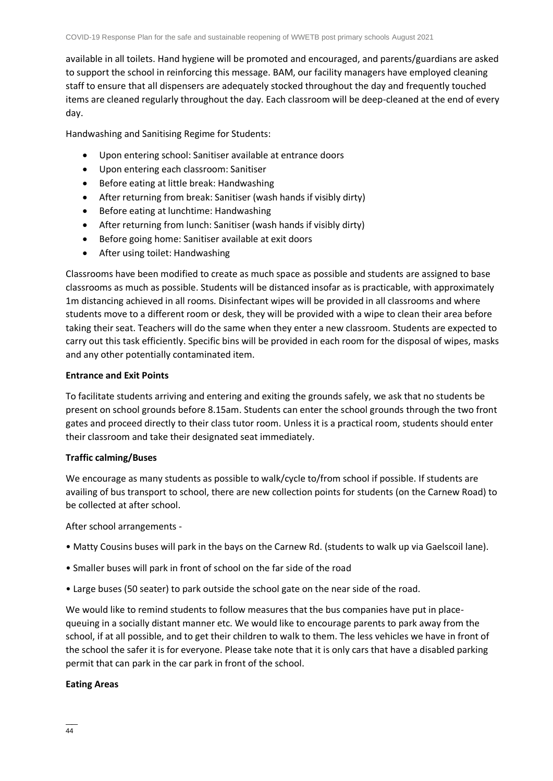available in all toilets. Hand hygiene will be promoted and encouraged, and parents/guardians are asked to support the school in reinforcing this message. BAM, our facility managers have employed cleaning staff to ensure that all dispensers are adequately stocked throughout the day and frequently touched items are cleaned regularly throughout the day. Each classroom will be deep-cleaned at the end of every day.

Handwashing and Sanitising Regime for Students:

- Upon entering school: Sanitiser available at entrance doors
- Upon entering each classroom: Sanitiser
- Before eating at little break: Handwashing
- After returning from break: Sanitiser (wash hands if visibly dirty)
- Before eating at lunchtime: Handwashing
- After returning from lunch: Sanitiser (wash hands if visibly dirty)
- Before going home: Sanitiser available at exit doors
- After using toilet: Handwashing

Classrooms have been modified to create as much space as possible and students are assigned to base classrooms as much as possible. Students will be distanced insofar as is practicable, with approximately 1m distancing achieved in all rooms. Disinfectant wipes will be provided in all classrooms and where students move to a different room or desk, they will be provided with a wipe to clean their area before taking their seat. Teachers will do the same when they enter a new classroom. Students are expected to carry out this task efficiently. Specific bins will be provided in each room for the disposal of wipes, masks and any other potentially contaminated item.

#### **Entrance and Exit Points**

To facilitate students arriving and entering and exiting the grounds safely, we ask that no students be present on school grounds before 8.15am. Students can enter the school grounds through the two front gates and proceed directly to their class tutor room. Unless it is a practical room, students should enter their classroom and take their designated seat immediately.

#### **Traffic calming/Buses**

We encourage as many students as possible to walk/cycle to/from school if possible. If students are availing of bus transport to school, there are new collection points for students (on the Carnew Road) to be collected at after school.

After school arrangements -

- Matty Cousins buses will park in the bays on the Carnew Rd. (students to walk up via Gaelscoil lane).
- Smaller buses will park in front of school on the far side of the road
- Large buses (50 seater) to park outside the school gate on the near side of the road.

We would like to remind students to follow measures that the bus companies have put in placequeuing in a socially distant manner etc. We would like to encourage parents to park away from the school, if at all possible, and to get their children to walk to them. The less vehicles we have in front of the school the safer it is for everyone. Please take note that it is only cars that have a disabled parking permit that can park in the car park in front of the school.

#### **Eating Areas**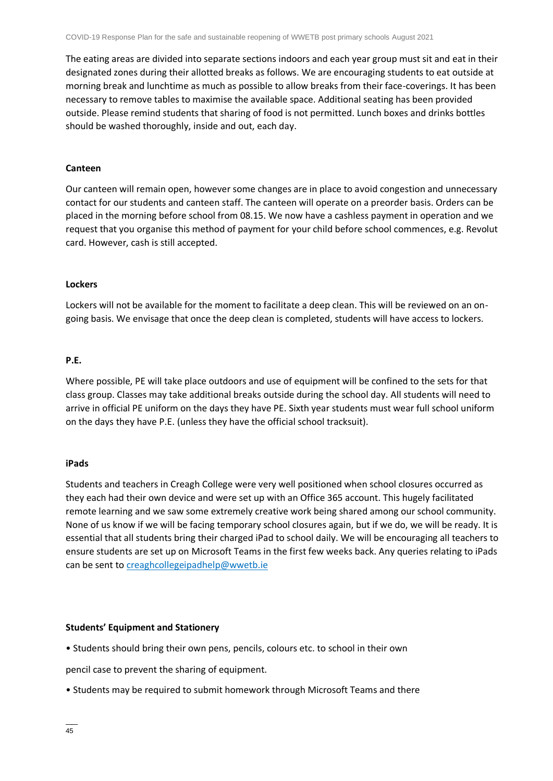The eating areas are divided into separate sections indoors and each year group must sit and eat in their designated zones during their allotted breaks as follows. We are encouraging students to eat outside at morning break and lunchtime as much as possible to allow breaks from their face-coverings. It has been necessary to remove tables to maximise the available space. Additional seating has been provided outside. Please remind students that sharing of food is not permitted. Lunch boxes and drinks bottles should be washed thoroughly, inside and out, each day.

#### **Canteen**

Our canteen will remain open, however some changes are in place to avoid congestion and unnecessary contact for our students and canteen staff. The canteen will operate on a preorder basis. Orders can be placed in the morning before school from 08.15. We now have a cashless payment in operation and we request that you organise this method of payment for your child before school commences, e.g. Revolut card. However, cash is still accepted.

#### **Lockers**

Lockers will not be available for the moment to facilitate a deep clean. This will be reviewed on an ongoing basis. We envisage that once the deep clean is completed, students will have access to lockers.

#### **P.E.**

Where possible, PE will take place outdoors and use of equipment will be confined to the sets for that class group. Classes may take additional breaks outside during the school day. All students will need to arrive in official PE uniform on the days they have PE. Sixth year students must wear full school uniform on the days they have P.E. (unless they have the official school tracksuit).

#### **iPads**

Students and teachers in Creagh College were very well positioned when school closures occurred as they each had their own device and were set up with an Office 365 account. This hugely facilitated remote learning and we saw some extremely creative work being shared among our school community. None of us know if we will be facing temporary school closures again, but if we do, we will be ready. It is essential that all students bring their charged iPad to school daily. We will be encouraging all teachers to ensure students are set up on Microsoft Teams in the first few weeks back. Any queries relating to iPads can be sent to [creaghcollegeipadhelp@wwetb.ie](mailto:creaghcollegeipadhelp@wwetb.ie)

#### **Students' Equipment and Stationery**

• Students should bring their own pens, pencils, colours etc. to school in their own

pencil case to prevent the sharing of equipment.

• Students may be required to submit homework through Microsoft Teams and there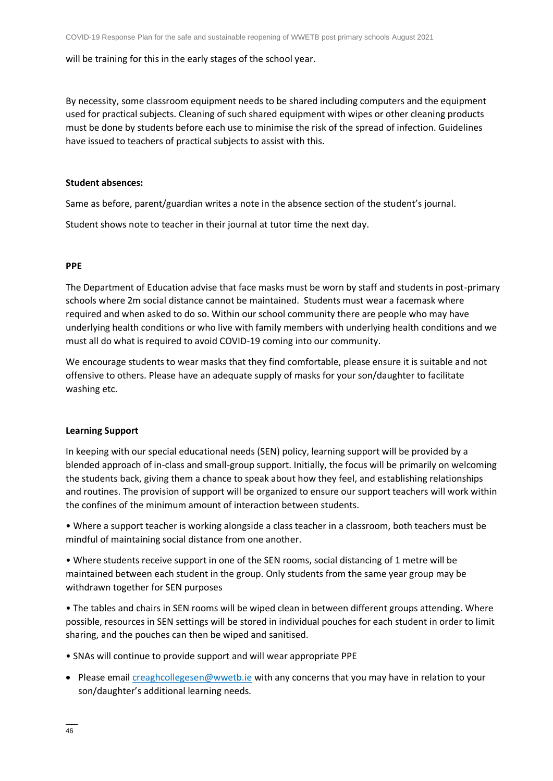#### will be training for this in the early stages of the school year.

By necessity, some classroom equipment needs to be shared including computers and the equipment used for practical subjects. Cleaning of such shared equipment with wipes or other cleaning products must be done by students before each use to minimise the risk of the spread of infection. Guidelines have issued to teachers of practical subjects to assist with this.

#### **Student absences:**

Same as before, parent/guardian writes a note in the absence section of the student's journal.

Student shows note to teacher in their journal at tutor time the next day.

#### **PPE**

The Department of Education advise that face masks must be worn by staff and students in post-primary schools where 2m social distance cannot be maintained. Students must wear a facemask where required and when asked to do so. Within our school community there are people who may have underlying health conditions or who live with family members with underlying health conditions and we must all do what is required to avoid COVID-19 coming into our community.

We encourage students to wear masks that they find comfortable, please ensure it is suitable and not offensive to others. Please have an adequate supply of masks for your son/daughter to facilitate washing etc.

#### **Learning Support**

In keeping with our special educational needs (SEN) policy, learning support will be provided by a blended approach of in-class and small-group support. Initially, the focus will be primarily on welcoming the students back, giving them a chance to speak about how they feel, and establishing relationships and routines. The provision of support will be organized to ensure our support teachers will work within the confines of the minimum amount of interaction between students.

• Where a support teacher is working alongside a class teacher in a classroom, both teachers must be mindful of maintaining social distance from one another.

• Where students receive support in one of the SEN rooms, social distancing of 1 metre will be maintained between each student in the group. Only students from the same year group may be withdrawn together for SEN purposes

• The tables and chairs in SEN rooms will be wiped clean in between different groups attending. Where possible, resources in SEN settings will be stored in individual pouches for each student in order to limit sharing, and the pouches can then be wiped and sanitised.

- SNAs will continue to provide support and will wear appropriate PPE
- Please emai[l creaghcollegesen@wwetb.ie](mailto:creaghcollegesen@wwetb.ie) with any concerns that you may have in relation to your son/daughter's additional learning needs.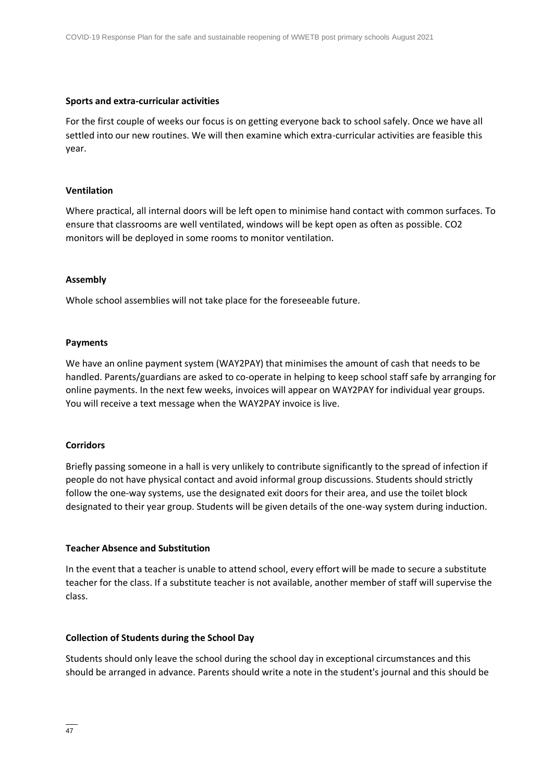#### **Sports and extra-curricular activities**

For the first couple of weeks our focus is on getting everyone back to school safely. Once we have all settled into our new routines. We will then examine which extra-curricular activities are feasible this year.

#### **Ventilation**

Where practical, all internal doors will be left open to minimise hand contact with common surfaces. To ensure that classrooms are well ventilated, windows will be kept open as often as possible. CO2 monitors will be deployed in some rooms to monitor ventilation.

#### **Assembly**

Whole school assemblies will not take place for the foreseeable future.

#### **Payments**

We have an online payment system (WAY2PAY) that minimises the amount of cash that needs to be handled. Parents/guardians are asked to co-operate in helping to keep school staff safe by arranging for online payments. In the next few weeks, invoices will appear on WAY2PAY for individual year groups. You will receive a text message when the WAY2PAY invoice is live.

#### **Corridors**

Briefly passing someone in a hall is very unlikely to contribute significantly to the spread of infection if people do not have physical contact and avoid informal group discussions. Students should strictly follow the one-way systems, use the designated exit doors for their area, and use the toilet block designated to their year group. Students will be given details of the one-way system during induction.

#### **Teacher Absence and Substitution**

In the event that a teacher is unable to attend school, every effort will be made to secure a substitute teacher for the class. If a substitute teacher is not available, another member of staff will supervise the class.

#### **Collection of Students during the School Day**

Students should only leave the school during the school day in exceptional circumstances and this should be arranged in advance. Parents should write a note in the student's journal and this should be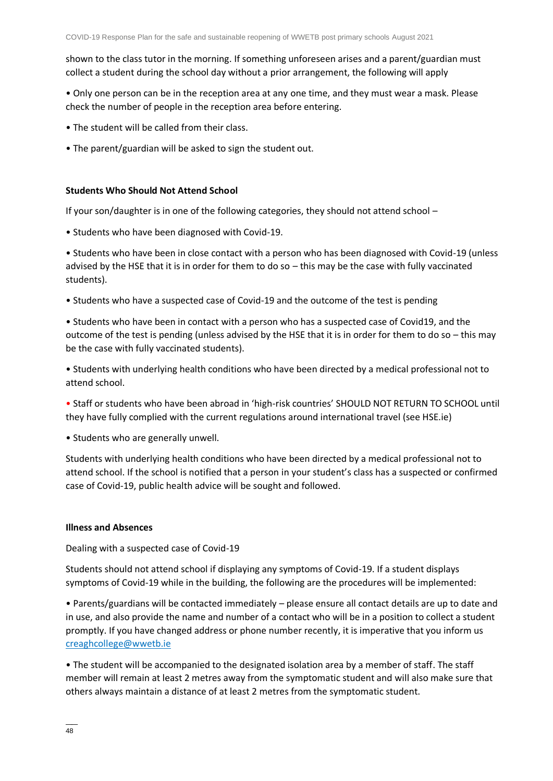shown to the class tutor in the morning. If something unforeseen arises and a parent/guardian must collect a student during the school day without a prior arrangement, the following will apply

• Only one person can be in the reception area at any one time, and they must wear a mask. Please check the number of people in the reception area before entering.

- The student will be called from their class.
- The parent/guardian will be asked to sign the student out.

#### **Students Who Should Not Attend School**

If your son/daughter is in one of the following categories, they should not attend school –

• Students who have been diagnosed with Covid-19.

• Students who have been in close contact with a person who has been diagnosed with Covid-19 (unless advised by the HSE that it is in order for them to do so – this may be the case with fully vaccinated students).

• Students who have a suspected case of Covid-19 and the outcome of the test is pending

• Students who have been in contact with a person who has a suspected case of Covid19, and the outcome of the test is pending (unless advised by the HSE that it is in order for them to do so – this may be the case with fully vaccinated students).

• Students with underlying health conditions who have been directed by a medical professional not to attend school.

• Staff or students who have been abroad in 'high-risk countries' SHOULD NOT RETURN TO SCHOOL until they have fully complied with the current regulations around international travel (see HSE.ie)

• Students who are generally unwell.

Students with underlying health conditions who have been directed by a medical professional not to attend school. If the school is notified that a person in your student's class has a suspected or confirmed case of Covid-19, public health advice will be sought and followed.

#### **Illness and Absences**

Dealing with a suspected case of Covid-19

Students should not attend school if displaying any symptoms of Covid-19. If a student displays symptoms of Covid-19 while in the building, the following are the procedures will be implemented:

• Parents/guardians will be contacted immediately – please ensure all contact details are up to date and in use, and also provide the name and number of a contact who will be in a position to collect a student promptly. If you have changed address or phone number recently, it is imperative that you inform us [creaghcollege@wwetb.ie](mailto:creaghcollege@wwetb.ie)

• The student will be accompanied to the designated isolation area by a member of staff. The staff member will remain at least 2 metres away from the symptomatic student and will also make sure that others always maintain a distance of at least 2 metres from the symptomatic student.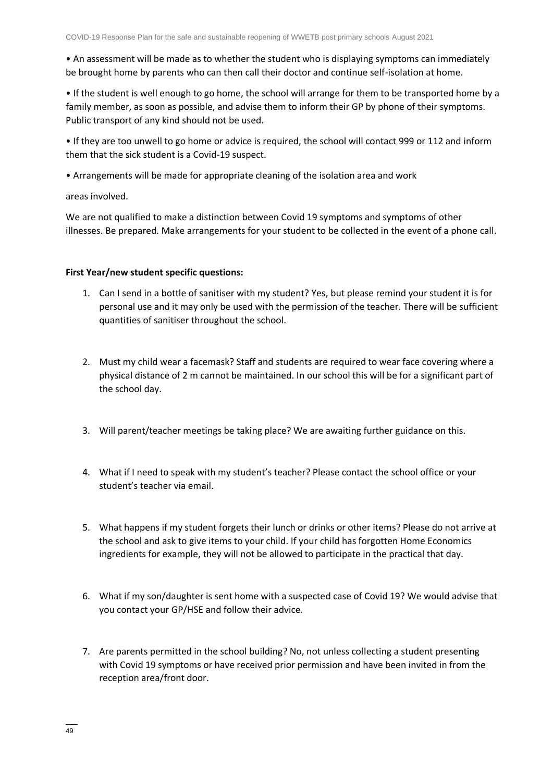• An assessment will be made as to whether the student who is displaying symptoms can immediately be brought home by parents who can then call their doctor and continue self-isolation at home.

• If the student is well enough to go home, the school will arrange for them to be transported home by a family member, as soon as possible, and advise them to inform their GP by phone of their symptoms. Public transport of any kind should not be used.

• If they are too unwell to go home or advice is required, the school will contact 999 or 112 and inform them that the sick student is a Covid-19 suspect.

• Arrangements will be made for appropriate cleaning of the isolation area and work

areas involved.

We are not qualified to make a distinction between Covid 19 symptoms and symptoms of other illnesses. Be prepared. Make arrangements for your student to be collected in the event of a phone call.

#### **First Year/new student specific questions:**

- 1. Can I send in a bottle of sanitiser with my student? Yes, but please remind your student it is for personal use and it may only be used with the permission of the teacher. There will be sufficient quantities of sanitiser throughout the school.
- 2. Must my child wear a facemask? Staff and students are required to wear face covering where a physical distance of 2 m cannot be maintained. In our school this will be for a significant part of the school day.
- 3. Will parent/teacher meetings be taking place? We are awaiting further guidance on this.
- 4. What if I need to speak with my student's teacher? Please contact the school office or your student's teacher via email.
- 5. What happens if my student forgets their lunch or drinks or other items? Please do not arrive at the school and ask to give items to your child. If your child has forgotten Home Economics ingredients for example, they will not be allowed to participate in the practical that day.
- 6. What if my son/daughter is sent home with a suspected case of Covid 19? We would advise that you contact your GP/HSE and follow their advice.
- 7. Are parents permitted in the school building? No, not unless collecting a student presenting with Covid 19 symptoms or have received prior permission and have been invited in from the reception area/front door.